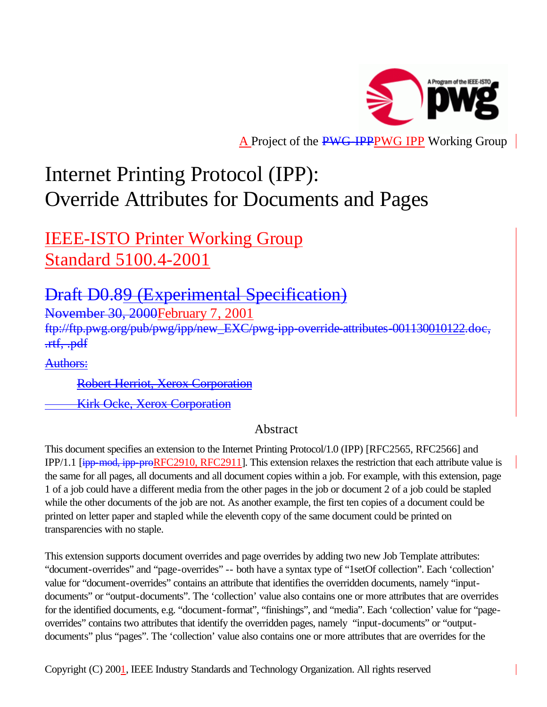

A Project of the PWG-IPPPWG IPP Working Group

# Internet Printing Protocol (IPP): Override Attributes for Documents and Pages

IEEE-ISTO Printer Working Group Standard 5100.4-2001

# Draft D0.89 (Experimental Specification)

November 30, 2000February 7, 2001

ftp://ftp.pwg.org/pub/pwg/ipp/new\_EXC/pwg-ipp-override-attributes-001130010122.doc, .rtf, .pdf

Authors:

Robert Herriot, Xerox Corporation

Kirk Ocke, Xerox Corporation

# Abstract

This document specifies an extension to the Internet Printing Protocol/1.0 (IPP) [RFC2565, RFC2566] and IPP/1.1 [ipp-mod, ipp-proRFC2910, RFC2911]. This extension relaxes the restriction that each attribute value is the same for all pages, all documents and all document copies within a job. For example, with this extension, page 1 of a job could have a different media from the other pages in the job or document 2 of a job could be stapled while the other documents of the job are not. As another example, the first ten copies of a document could be printed on letter paper and stapled while the eleventh copy of the same document could be printed on transparencies with no staple.

This extension supports document overrides and page overrides by adding two new Job Template attributes: "document-overrides" and "page-overrides" -- both have a syntax type of "1setOf collection". Each 'collection' value for "document-overrides" contains an attribute that identifies the overridden documents, namely "inputdocuments" or "output-documents". The 'collection' value also contains one or more attributes that are overrides for the identified documents, e.g. "document-format", "finishings", and "media". Each 'collection' value for "pageoverrides" contains two attributes that identify the overridden pages, namely "input-documents" or "outputdocuments" plus "pages". The 'collection' value also contains one or more attributes that are overrides for the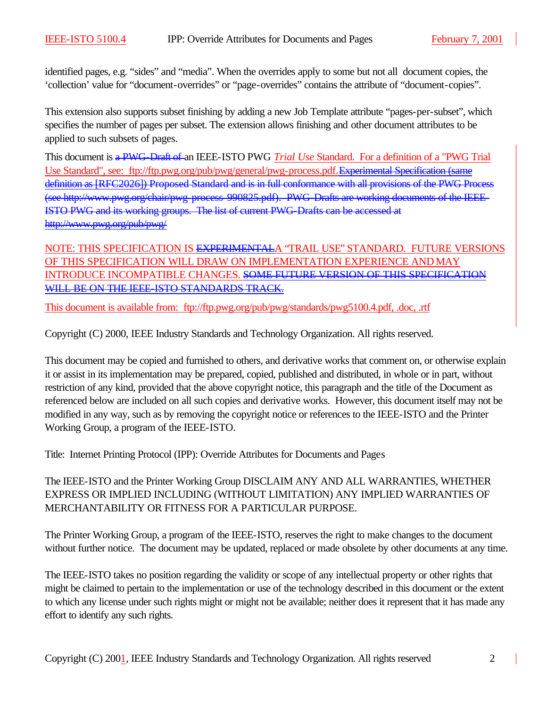identified pages, e.g. "sides" and "media". When the overrides apply to some but not all document copies, the 'collection' value for "document-overrides" or "page-overrides" contains the attribute of "document-copies".

This extension also supports subset finishing by adding a new Job Template attribute "pages-per-subset", which specifies the number of pages per subset. The extension allows finishing and other document attributes to be applied to such subsets of pages.

This document is a PWG-Draft of an IEEE-ISTO PWG *Trial Use* Standard. For a definition of a "PWG Trial Use Standard", see: ftp://ftp.pwg.org/pub/pwg/general/pwg-process.pdf.Experimental Specification (same definition as [RFC2026]) Proposed Standard and is in full conformance with all provisions of the PWG Process (see http://www.pwg.org/chair/pwg-process-990825.pdf). PWG-Drafts are working documents of the IEEE-ISTO PWG and its working groups. The list of current PWG-Drafts can be accessed at http://www.pwg.org/pub/pwg/

NOTE: THIS SPECIFICATION IS EXPERIMENTALA "TRAIL USE" STANDARD. FUTURE VERSIONS OF THIS SPECIFICATION WILL DRAW ON IMPLEMENTATION EXPERIENCE AND MAY INTRODUCE INCOMPATIBLE CHANGES. SOME FUTURE VERSION OF THIS SPECIFICATION WILL BE ON THE IEEE-ISTO STANDARDS TRACK.

This document is available from: ftp://ftp.pwg.org/pub/pwg/standards/pwg5100.4.pdf, .doc, .rtf

Copyright (C) 2000, IEEE Industry Standards and Technology Organization. All rights reserved.

This document may be copied and furnished to others, and derivative works that comment on, or otherwise explain it or assist in its implementation may be prepared, copied, published and distributed, in whole or in part, without restriction of any kind, provided that the above copyright notice, this paragraph and the title of the Document as referenced below are included on all such copies and derivative works. However, this document itself may not be modified in any way, such as by removing the copyright notice or references to the IEEE-ISTO and the Printer Working Group, a program of the IEEE-ISTO.

Title: Internet Printing Protocol (IPP): Override Attributes for Documents and Pages

The IEEE-ISTO and the Printer Working Group DISCLAIM ANY AND ALL WARRANTIES, WHETHER EXPRESS OR IMPLIED INCLUDING (WITHOUT LIMITATION) ANY IMPLIED WARRANTIES OF MERCHANTABILITY OR FITNESS FOR A PARTICULAR PURPOSE.

The Printer Working Group, a program of the IEEE-ISTO, reserves the right to make changes to the document without further notice. The document may be updated, replaced or made obsolete by other documents at any time.

The IEEE-ISTO takes no position regarding the validity or scope of any intellectual property or other rights that might be claimed to pertain to the implementation or use of the technology described in this document or the extent to which any license under such rights might or might not be available; neither does it represent that it has made any effort to identify any such rights.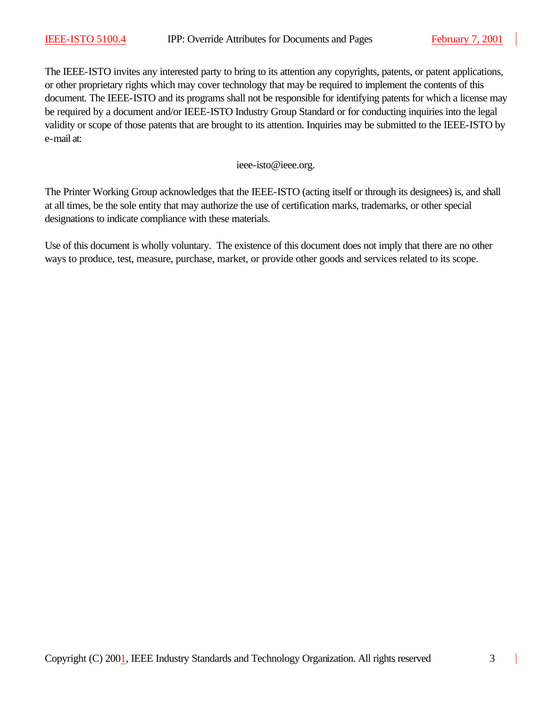The IEEE-ISTO invites any interested party to bring to its attention any copyrights, patents, or patent applications, or other proprietary rights which may cover technology that may be required to implement the contents of this document. The IEEE-ISTO and its programs shall not be responsible for identifying patents for which a license may be required by a document and/or IEEE-ISTO Industry Group Standard or for conducting inquiries into the legal validity or scope of those patents that are brought to its attention. Inquiries may be submitted to the IEEE-ISTO by e-mail at:

ieee-isto@ieee.org.

The Printer Working Group acknowledges that the IEEE-ISTO (acting itself or through its designees) is, and shall at all times, be the sole entity that may authorize the use of certification marks, trademarks, or other special designations to indicate compliance with these materials.

Use of this document is wholly voluntary. The existence of this document does not imply that there are no other ways to produce, test, measure, purchase, market, or provide other goods and services related to its scope.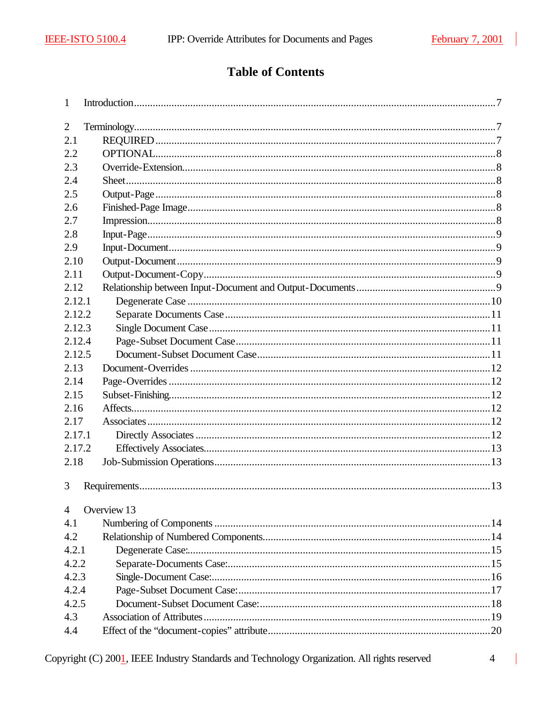# **Table of Contents**

| 1              |             |  |
|----------------|-------------|--|
| 2              |             |  |
| 2.1            |             |  |
| 2.2            |             |  |
| 2.3            |             |  |
| 2.4            |             |  |
| 2.5            |             |  |
| 2.6            |             |  |
| 2.7            |             |  |
| 2.8            |             |  |
| 2.9            |             |  |
| 2.10           |             |  |
| 2.11           |             |  |
| 2.12           |             |  |
| 2.12.1         |             |  |
| 2.12.2         |             |  |
| 2.12.3         |             |  |
| 2.12.4         |             |  |
| 2.12.5         |             |  |
| 2.13           |             |  |
| 2.14           |             |  |
| 2.15           |             |  |
| 2.16           |             |  |
| 2.17           |             |  |
| 2.17.1         |             |  |
| 2.17.2         |             |  |
| 2.18           |             |  |
| 3              |             |  |
| $\overline{4}$ | Overview 13 |  |
| 4.1            |             |  |
| 4.2            |             |  |
| 4.2.1          |             |  |
| 4.2.2          |             |  |
| 4.2.3          |             |  |
| 4.2.4          |             |  |
| 4.2.5          |             |  |
| 4.3            |             |  |
| 4.4            |             |  |

Copyright (C) 2001, IEEE Industry Standards and Technology Organization. All rights reserved

 $\overline{4}$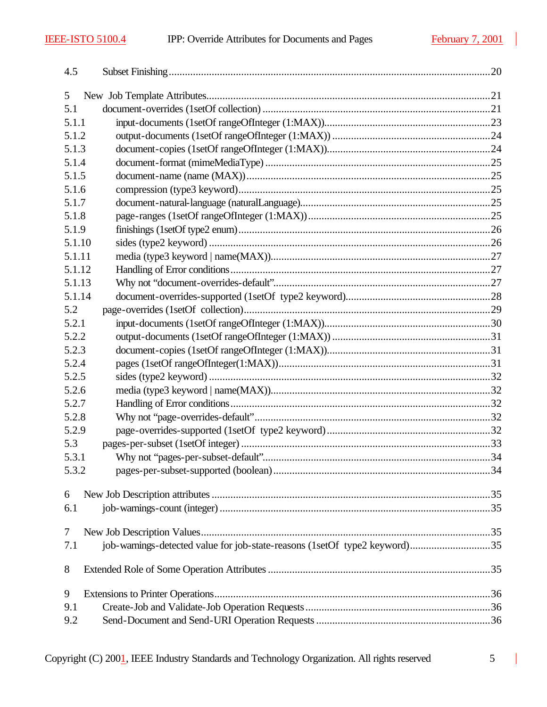$\overline{\phantom{a}}$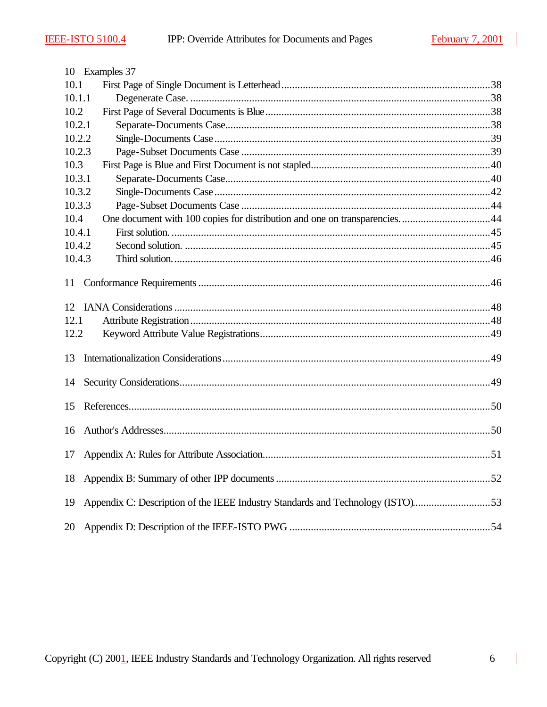|        | 10 Examples 37                                                                 |  |  |
|--------|--------------------------------------------------------------------------------|--|--|
| 10.1   |                                                                                |  |  |
| 10.1.1 |                                                                                |  |  |
| 10.2   |                                                                                |  |  |
| 10.2.1 |                                                                                |  |  |
| 10.2.2 |                                                                                |  |  |
| 10.2.3 |                                                                                |  |  |
| 10.3   |                                                                                |  |  |
| 10.3.1 |                                                                                |  |  |
| 10.3.2 |                                                                                |  |  |
| 10.3.3 |                                                                                |  |  |
| 10.4   | One document with 100 copies for distribution and one on transparencies44      |  |  |
| 10.4.1 |                                                                                |  |  |
| 10.4.2 |                                                                                |  |  |
| 10.4.3 |                                                                                |  |  |
| 11     |                                                                                |  |  |
|        |                                                                                |  |  |
|        |                                                                                |  |  |
| 12.1   |                                                                                |  |  |
| 12.2   |                                                                                |  |  |
| 13     |                                                                                |  |  |
| 14     |                                                                                |  |  |
| 15     |                                                                                |  |  |
| 16     |                                                                                |  |  |
| 17     |                                                                                |  |  |
|        |                                                                                |  |  |
| 19     | Appendix C: Description of the IEEE Industry Standards and Technology (ISTO)53 |  |  |
|        |                                                                                |  |  |
| 20     |                                                                                |  |  |

 $\overline{\phantom{a}}$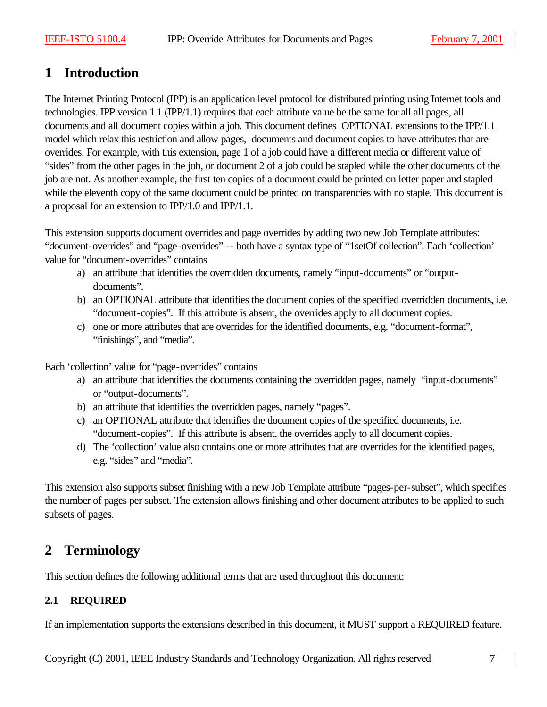# **1 Introduction**

The Internet Printing Protocol (IPP) is an application level protocol for distributed printing using Internet tools and technologies. IPP version 1.1 (IPP/1.1) requires that each attribute value be the same for all all pages, all documents and all document copies within a job. This document defines OPTIONAL extensions to the IPP/1.1 model which relax this restriction and allow pages, documents and document copies to have attributes that are overrides. For example, with this extension, page 1 of a job could have a different media or different value of "sides" from the other pages in the job, or document 2 of a job could be stapled while the other documents of the job are not. As another example, the first ten copies of a document could be printed on letter paper and stapled while the eleventh copy of the same document could be printed on transparencies with no staple. This document is a proposal for an extension to IPP/1.0 and IPP/1.1.

This extension supports document overrides and page overrides by adding two new Job Template attributes: "document-overrides" and "page-overrides" -- both have a syntax type of "1setOf collection". Each 'collection' value for "document-overrides" contains

- a) an attribute that identifies the overridden documents, namely "input-documents" or "outputdocuments".
- b) an OPTIONAL attribute that identifies the document copies of the specified overridden documents, i.e. "document-copies". If this attribute is absent, the overrides apply to all document copies.
- c) one or more attributes that are overrides for the identified documents, e.g. "document-format", "finishings", and "media".

Each 'collection' value for "page-overrides" contains

- a) an attribute that identifies the documents containing the overridden pages, namely "input-documents" or "output-documents".
- b) an attribute that identifies the overridden pages, namely "pages".
- c) an OPTIONAL attribute that identifies the document copies of the specified documents, i.e. "document-copies". If this attribute is absent, the overrides apply to all document copies.
- d) The 'collection' value also contains one or more attributes that are overrides for the identified pages, e.g. "sides" and "media".

This extension also supports subset finishing with a new Job Template attribute "pages-per-subset", which specifies the number of pages per subset. The extension allows finishing and other document attributes to be applied to such subsets of pages.

# **2 Terminology**

This section defines the following additional terms that are used throughout this document:

# **2.1 REQUIRED**

If an implementation supports the extensions described in this document, it MUST support a REQUIRED feature.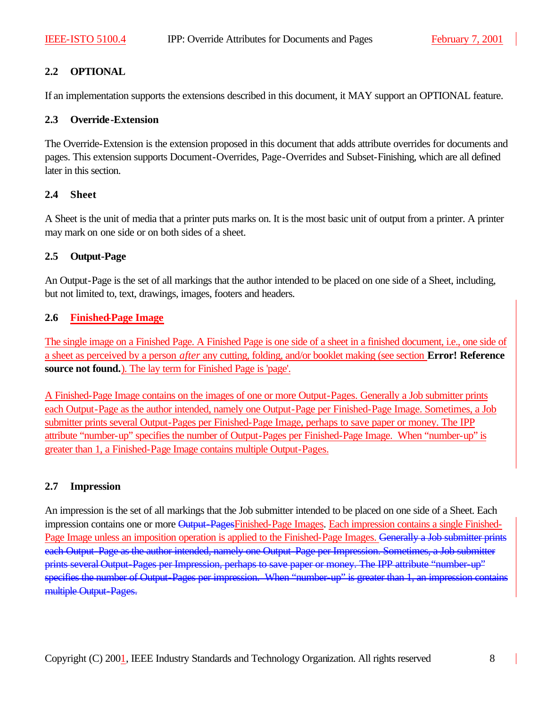# **2.2 OPTIONAL**

If an implementation supports the extensions described in this document, it MAY support an OPTIONAL feature.

#### **2.3 Override-Extension**

The Override-Extension is the extension proposed in this document that adds attribute overrides for documents and pages. This extension supports Document-Overrides, Page-Overrides and Subset-Finishing, which are all defined later in this section.

#### **2.4 Sheet**

A Sheet is the unit of media that a printer puts marks on. It is the most basic unit of output from a printer. A printer may mark on one side or on both sides of a sheet.

#### **2.5 Output-Page**

An Output-Page is the set of all markings that the author intended to be placed on one side of a Sheet, including, but not limited to, text, drawings, images, footers and headers.

#### **2.6 Finished-Page Image**

The single image on a Finished Page. A Finished Page is one side of a sheet in a finished document, i.e., one side of a sheet as perceived by a person *after* any cutting, folding, and/or booklet making (see section **Error! Reference source not found.**). The lay term for Finished Page is 'page'.

A Finished-Page Image contains on the images of one or more Output-Pages. Generally a Job submitter prints each Output-Page as the author intended, namely one Output-Page per Finished-Page Image. Sometimes, a Job submitter prints several Output-Pages per Finished-Page Image, perhaps to save paper or money. The IPP attribute "number-up" specifies the number of Output-Pages per Finished-Page Image. When "number-up" is greater than 1, a Finished-Page Image contains multiple Output-Pages.

# **2.7 Impression**

An impression is the set of all markings that the Job submitter intended to be placed on one side of a Sheet. Each impression contains one or more Output-PagesFinished-Page Images. Each impression contains a single Finished-Page Image unless an imposition operation is applied to the Finished-Page Images. Generally a Job submitter prints each Output-Page as the author intended, namely one Output-Page per Impression. Sometimes, a Job submitter prints several Output-Pages per Impression, perhaps to save paper or money. The IPP attribute "number-up" specifies the number of Output-Pages per impression. When "number-up" is greater than 1, an impression contains multiple Output-Pages.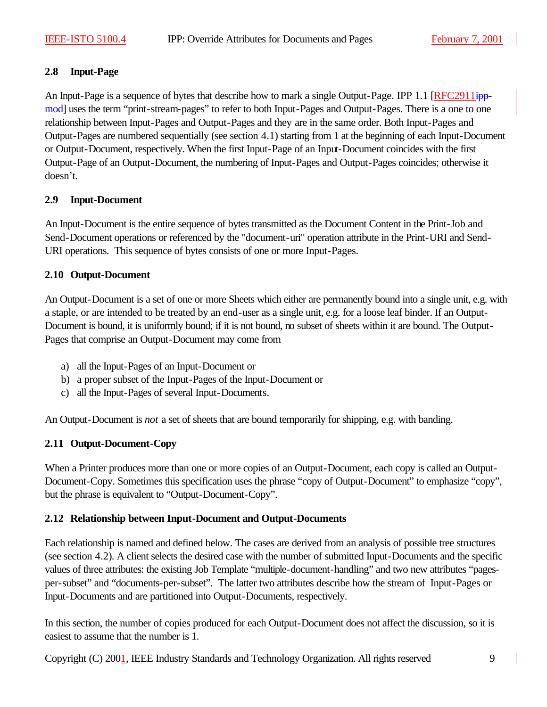# **2.8 Input-Page**

An Input-Page is a sequence of bytes that describe how to mark a single Output-Page. IPP 1.1 [RFC2911ippmod] uses the term "print-stream-pages" to refer to both Input-Pages and Output-Pages. There is a one to one relationship between Input-Pages and Output-Pages and they are in the same order. Both Input-Pages and Output-Pages are numbered sequentially (see section 4.1) starting from 1 at the beginning of each Input-Document or Output-Document, respectively. When the first Input-Page of an Input-Document coincides with the first Output-Page of an Output-Document, the numbering of Input-Pages and Output-Pages coincides; otherwise it doesn't.

#### **2.9 Input-Document**

An Input-Document is the entire sequence of bytes transmitted as the Document Content in the Print-Job and Send-Document operations or referenced by the "document-uri" operation attribute in the Print-URI and Send-URI operations. This sequence of bytes consists of one or more Input-Pages.

#### **2.10 Output-Document**

An Output-Document is a set of one or more Sheets which either are permanently bound into a single unit, e.g. with a staple, or are intended to be treated by an end-user as a single unit, e.g. for a loose leaf binder. If an Output-Document is bound, it is uniformly bound; if it is not bound, no subset of sheets within it are bound. The Output-Pages that comprise an Output-Document may come from

- a) all the Input-Pages of an Input-Document or
- b) a proper subset of the Input-Pages of the Input-Document or
- c) all the Input-Pages of several Input-Documents.

An Output-Document is *not* a set of sheets that are bound temporarily for shipping, e.g. with banding.

#### **2.11 Output-Document-Copy**

When a Printer produces more than one or more copies of an Output-Document, each copy is called an Output-Document-Copy. Sometimes this specification uses the phrase "copy of Output-Document" to emphasize "copy", but the phrase is equivalent to "Output-Document-Copy".

#### **2.12 Relationship between Input-Document and Output-Documents**

Each relationship is named and defined below. The cases are derived from an analysis of possible tree structures (see section 4.2). A client selects the desired case with the number of submitted Input-Documents and the specific values of three attributes: the existing Job Template "multiple-document-handling" and two new attributes "pagesper-subset" and "documents-per-subset". The latter two attributes describe how the stream of Input-Pages or Input-Documents and are partitioned into Output-Documents, respectively.

In this section, the number of copies produced for each Output-Document does not affect the discussion, so it is easiest to assume that the number is 1.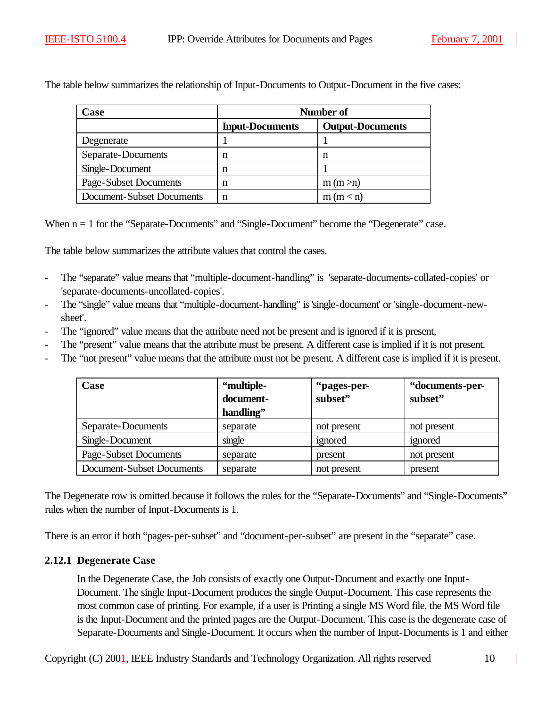The table below summarizes the relationship of Input-Documents to Output-Document in the five cases:

| Case                      | Number of              |                         |  |
|---------------------------|------------------------|-------------------------|--|
|                           | <b>Input-Documents</b> | <b>Output-Documents</b> |  |
| Degenerate                |                        |                         |  |
| Separate-Documents        | n                      | n                       |  |
| Single-Document           | n                      |                         |  |
| Page-Subset Documents     | n                      | m(m > n)                |  |
| Document-Subset Documents |                        | m (m < n)               |  |

When  $n = 1$  for the "Separate-Documents" and "Single-Document" become the "Degenerate" case.

The table below summarizes the attribute values that control the cases.

- The "separate" value means that "multiple-document-handling" is 'separate-documents-collated-copies' or 'separate-documents-uncollated-copies'.
- The "single" value means that "multiple-document-handling" is 'single-document' or 'single-document-newsheet'.
- The "ignored" value means that the attribute need not be present and is ignored if it is present,
- The "present" value means that the attribute must be present. A different case is implied if it is not present.
- The "not present" value means that the attribute must not be present. A different case is implied if it is present.

| Case                      | "multiple-<br>document-<br>handling" | "pages-per-<br>subset" | "documents-per-<br>subset" |
|---------------------------|--------------------------------------|------------------------|----------------------------|
| Separate-Documents        | separate                             | not present            | not present                |
| Single-Document           | single                               | ignored                | ignored                    |
| Page-Subset Documents     | separate                             | present                | not present                |
| Document-Subset Documents | separate                             | not present            | present                    |

The Degenerate row is omitted because it follows the rules for the "Separate-Documents" and "Single-Documents" rules when the number of Input-Documents is 1.

There is an error if both "pages-per-subset" and "document-per-subset" are present in the "separate" case.

# **2.12.1 Degenerate Case**

In the Degenerate Case, the Job consists of exactly one Output-Document and exactly one Input-Document. The single Input-Document produces the single Output-Document. This case represents the most common case of printing. For example, if a user is Printing a single MS Word file, the MS Word file is the Input-Document and the printed pages are the Output-Document. This case is the degenerate case of Separate-Documents and Single-Document. It occurs when the number of Input-Documents is 1 and either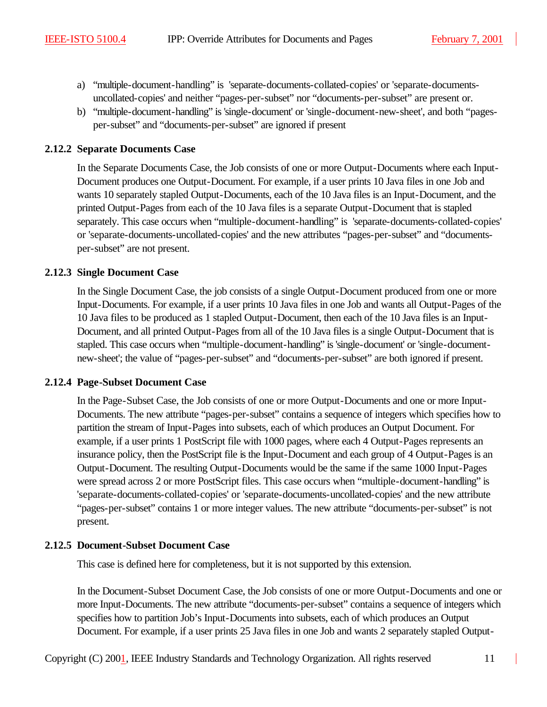- a) "multiple-document-handling" is 'separate-documents-collated-copies' or 'separate-documentsuncollated-copies' and neither "pages-per-subset" nor "documents-per-subset" are present or.
- b) "multiple-document-handling" is 'single-document' or 'single-document-new-sheet', and both "pagesper-subset" and "documents-per-subset" are ignored if present

### **2.12.2 Separate Documents Case**

In the Separate Documents Case, the Job consists of one or more Output-Documents where each Input-Document produces one Output-Document. For example, if a user prints 10 Java files in one Job and wants 10 separately stapled Output-Documents, each of the 10 Java files is an Input-Document, and the printed Output-Pages from each of the 10 Java files is a separate Output-Document that is stapled separately. This case occurs when "multiple-document-handling" is 'separate-documents-collated-copies' or 'separate-documents-uncollated-copies' and the new attributes "pages-per-subset" and "documentsper-subset" are not present.

#### **2.12.3 Single Document Case**

In the Single Document Case, the job consists of a single Output-Document produced from one or more Input-Documents. For example, if a user prints 10 Java files in one Job and wants all Output-Pages of the 10 Java files to be produced as 1 stapled Output-Document, then each of the 10 Java files is an Input-Document, and all printed Output-Pages from all of the 10 Java files is a single Output-Document that is stapled. This case occurs when "multiple-document-handling" is 'single-document' or 'single-documentnew-sheet'; the value of "pages-per-subset" and "documents-per-subset" are both ignored if present.

#### **2.12.4 Page-Subset Document Case**

In the Page-Subset Case, the Job consists of one or more Output-Documents and one or more Input-Documents. The new attribute "pages-per-subset" contains a sequence of integers which specifies how to partition the stream of Input-Pages into subsets, each of which produces an Output Document. For example, if a user prints 1 PostScript file with 1000 pages, where each 4 Output-Pages represents an insurance policy, then the PostScript file is the Input-Document and each group of 4 Output-Pages is an Output-Document. The resulting Output-Documents would be the same if the same 1000 Input-Pages were spread across 2 or more PostScript files. This case occurs when "multiple-document-handling" is 'separate-documents-collated-copies' or 'separate-documents-uncollated-copies' and the new attribute "pages-per-subset" contains 1 or more integer values. The new attribute "documents-per-subset" is not present.

# **2.12.5 Document-Subset Document Case**

This case is defined here for completeness, but it is not supported by this extension.

In the Document-Subset Document Case, the Job consists of one or more Output-Documents and one or more Input-Documents. The new attribute "documents-per-subset" contains a sequence of integers which specifies how to partition Job's Input-Documents into subsets, each of which produces an Output Document. For example, if a user prints 25 Java files in one Job and wants 2 separately stapled Output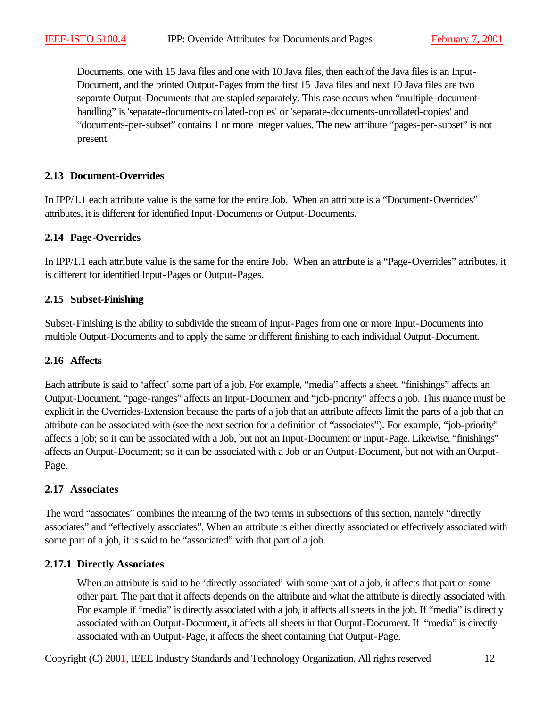Documents, one with 15 Java files and one with 10 Java files, then each of the Java files is an Input-Document, and the printed Output-Pages from the first 15 Java files and next 10 Java files are two separate Output-Documents that are stapled separately. This case occurs when "multiple-documenthandling" is 'separate-documents-collated-copies' or 'separate-documents-uncollated-copies' and "documents-per-subset" contains 1 or more integer values. The new attribute "pages-per-subset" is not present.

### **2.13 Document-Overrides**

In IPP/1.1 each attribute value is the same for the entire Job. When an attribute is a "Document-Overrides" attributes, it is different for identified Input-Documents or Output-Documents.

#### **2.14 Page-Overrides**

In IPP/1.1 each attribute value is the same for the entire Job. When an attribute is a "Page-Overrides" attributes, it is different for identified Input-Pages or Output-Pages.

#### **2.15 Subset-Finishing**

Subset-Finishing is the ability to subdivide the stream of Input-Pages from one or more Input-Documents into multiple Output-Documents and to apply the same or different finishing to each individual Output-Document.

#### **2.16 Affects**

Each attribute is said to 'affect' some part of a job. For example, "media" affects a sheet, "finishings" affects an Output-Document, "page-ranges" affects an Input-Document and "job-priority" affects a job. This nuance must be explicit in the Overrides-Extension because the parts of a job that an attribute affects limit the parts of a job that an attribute can be associated with (see the next section for a definition of "associates"). For example, "job-priority" affects a job; so it can be associated with a Job, but not an Input-Document or Input-Page. Likewise, "finishings" affects an Output-Document; so it can be associated with a Job or an Output-Document, but not with an Output-Page.

# **2.17 Associates**

The word "associates" combines the meaning of the two terms in subsections of this section, namely "directly associates" and "effectively associates". When an attribute is either directly associated or effectively associated with some part of a job, it is said to be "associated" with that part of a job.

# **2.17.1 Directly Associates**

When an attribute is said to be 'directly associated' with some part of a job, it affects that part or some other part. The part that it affects depends on the attribute and what the attribute is directly associated with. For example if "media" is directly associated with a job, it affects all sheets in the job. If "media" is directly associated with an Output-Document, it affects all sheets in that Output-Document. If "media" is directly associated with an Output-Page, it affects the sheet containing that Output-Page.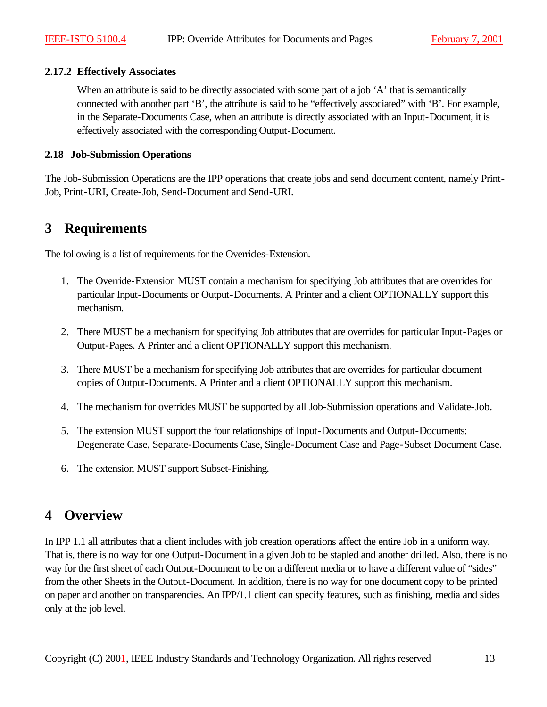### **2.17.2 Effectively Associates**

When an attribute is said to be directly associated with some part of a job 'A' that is semantically connected with another part 'B', the attribute is said to be "effectively associated" with 'B'. For example, in the Separate-Documents Case, when an attribute is directly associated with an Input-Document, it is effectively associated with the corresponding Output-Document.

### **2.18 Job-Submission Operations**

The Job-Submission Operations are the IPP operations that create jobs and send document content, namely Print-Job, Print-URI, Create-Job, Send-Document and Send-URI.

# **3 Requirements**

The following is a list of requirements for the Overrides-Extension.

- 1. The Override-Extension MUST contain a mechanism for specifying Job attributes that are overrides for particular Input-Documents or Output-Documents. A Printer and a client OPTIONALLY support this mechanism.
- 2. There MUST be a mechanism for specifying Job attributes that are overrides for particular Input-Pages or Output-Pages. A Printer and a client OPTIONALLY support this mechanism.
- 3. There MUST be a mechanism for specifying Job attributes that are overrides for particular document copies of Output-Documents. A Printer and a client OPTIONALLY support this mechanism.
- 4. The mechanism for overrides MUST be supported by all Job-Submission operations and Validate-Job.
- 5. The extension MUST support the four relationships of Input-Documents and Output-Documents: Degenerate Case, Separate-Documents Case, Single-Document Case and Page-Subset Document Case.
- 6. The extension MUST support Subset-Finishing.

# **4 Overview**

In IPP 1.1 all attributes that a client includes with job creation operations affect the entire Job in a uniform way. That is, there is no way for one Output-Document in a given Job to be stapled and another drilled. Also, there is no way for the first sheet of each Output-Document to be on a different media or to have a different value of "sides" from the other Sheets in the Output-Document. In addition, there is no way for one document copy to be printed on paper and another on transparencies. An IPP/1.1 client can specify features, such as finishing, media and sides only at the job level.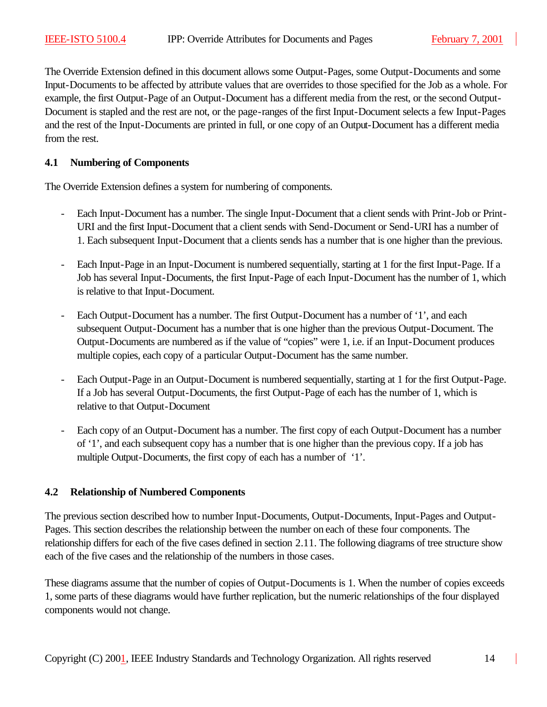The Override Extension defined in this document allows some Output-Pages, some Output-Documents and some Input-Documents to be affected by attribute values that are overrides to those specified for the Job as a whole. For example, the first Output-Page of an Output-Document has a different media from the rest, or the second Output-Document is stapled and the rest are not, or the page-ranges of the first Input-Document selects a few Input-Pages and the rest of the Input-Documents are printed in full, or one copy of an Output-Document has a different media from the rest.

#### **4.1 Numbering of Components**

The Override Extension defines a system for numbering of components.

- Each Input-Document has a number. The single Input-Document that a client sends with Print-Job or Print-URI and the first Input-Document that a client sends with Send-Document or Send-URI has a number of 1. Each subsequent Input-Document that a clients sends has a number that is one higher than the previous.
- Each Input-Page in an Input-Document is numbered sequentially, starting at 1 for the first Input-Page. If a Job has several Input-Documents, the first Input-Page of each Input-Document has the number of 1, which is relative to that Input-Document.
- Each Output-Document has a number. The first Output-Document has a number of '1', and each subsequent Output-Document has a number that is one higher than the previous Output-Document. The Output-Documents are numbered as if the value of "copies" were 1, i.e. if an Input-Document produces multiple copies, each copy of a particular Output-Document has the same number.
- Each Output-Page in an Output-Document is numbered sequentially, starting at 1 for the first Output-Page. If a Job has several Output-Documents, the first Output-Page of each has the number of 1, which is relative to that Output-Document
- Each copy of an Output-Document has a number. The first copy of each Output-Document has a number of '1', and each subsequent copy has a number that is one higher than the previous copy. If a job has multiple Output-Documents, the first copy of each has a number of '1'.

# **4.2 Relationship of Numbered Components**

The previous section described how to number Input-Documents, Output-Documents, Input-Pages and Output-Pages. This section describes the relationship between the number on each of these four components. The relationship differs for each of the five cases defined in section 2.11. The following diagrams of tree structure show each of the five cases and the relationship of the numbers in those cases.

These diagrams assume that the number of copies of Output-Documents is 1. When the number of copies exceeds 1, some parts of these diagrams would have further replication, but the numeric relationships of the four displayed components would not change.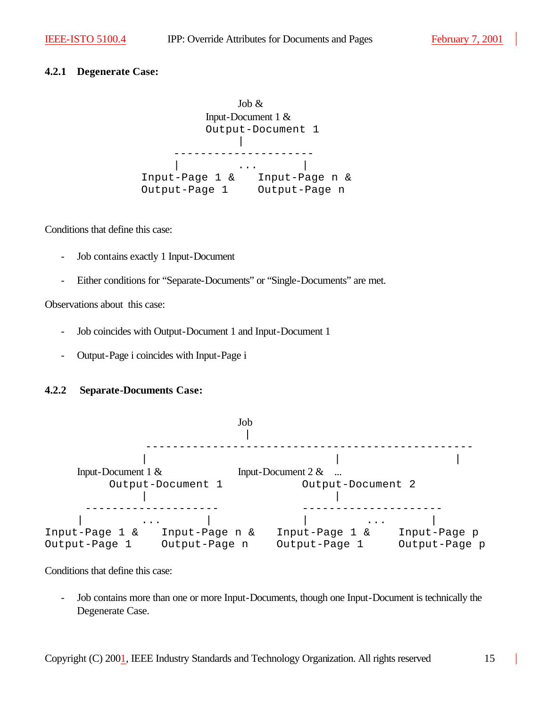### **4.2.1 Degenerate Case:**

Job & Input-Document 1 & Output-Document 1 | --------------------- | ... | Input-Page 1 & Input-Page n & Output-Page 1 Output-Page n

Conditions that define this case:

- Job contains exactly 1 Input-Document
- Either conditions for "Separate-Documents" or "Single-Documents" are met.

Observations about this case:

- Job coincides with Output-Document 1 and Input-Document 1
- Output-Page i coincides with Input-Page i

# **4.2.2 Separate-Documents Case:**



Conditions that define this case:

- Job contains more than one or more Input-Documents, though one Input-Document is technically the Degenerate Case.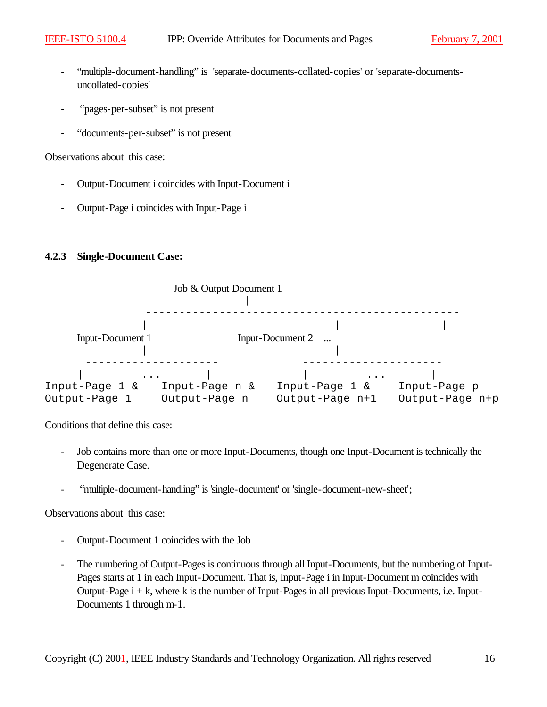- "multiple-document-handling" is 'separate-documents-collated-copies' or 'separate-documentsuncollated-copies'
- "pages-per-subset" is not present
- "documents-per-subset" is not present

Observations about this case:

- Output-Document i coincides with Input-Document i
- Output-Page i coincides with Input-Page i

#### **4.2.3 Single-Document Case:**



Conditions that define this case:

- Job contains more than one or more Input-Documents, though one Input-Document is technically the Degenerate Case.
- "multiple-document-handling" is 'single-document' or 'single-document-new-sheet';

Observations about this case:

- Output-Document 1 coincides with the Job
- The numbering of Output-Pages is continuous through all Input-Documents, but the numbering of Input-Pages starts at 1 in each Input-Document. That is, Input-Page i in Input-Document m coincides with Output-Page i + k, where k is the number of Input-Pages in all previous Input-Documents, i.e. Input-Documents 1 through m-1.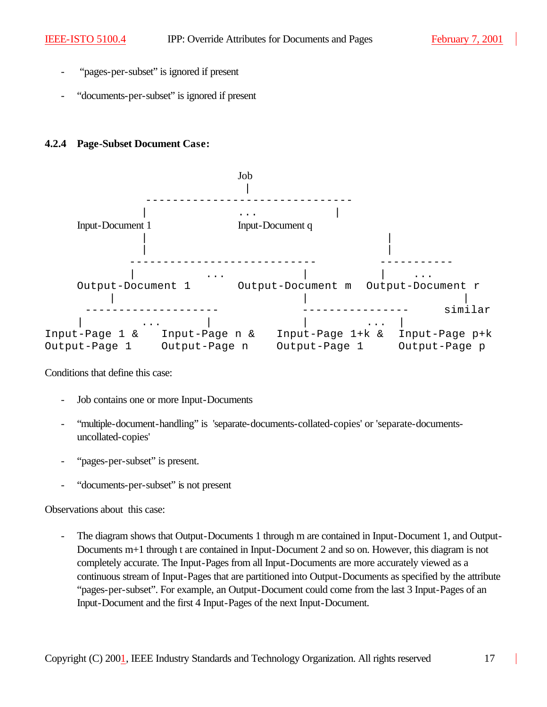- "pages-per-subset" is ignored if present
- "documents-per-subset" is ignored if present

#### **4.2.4 Page-Subset Document Case:**



Conditions that define this case:

- Job contains one or more Input-Documents
- "multiple-document-handling" is 'separate-documents-collated-copies' or 'separate-documentsuncollated-copies'
- "pages-per-subset" is present.
- "documents-per-subset" is not present

Observations about this case:

The diagram shows that Output-Documents 1 through m are contained in Input-Document 1, and Output-Documents m+1 through t are contained in Input-Document 2 and so on. However, this diagram is not completely accurate. The Input-Pages from all Input-Documents are more accurately viewed as a continuous stream of Input-Pages that are partitioned into Output-Documents as specified by the attribute "pages-per-subset". For example, an Output-Document could come from the last 3 Input-Pages of an Input-Document and the first 4 Input-Pages of the next Input-Document.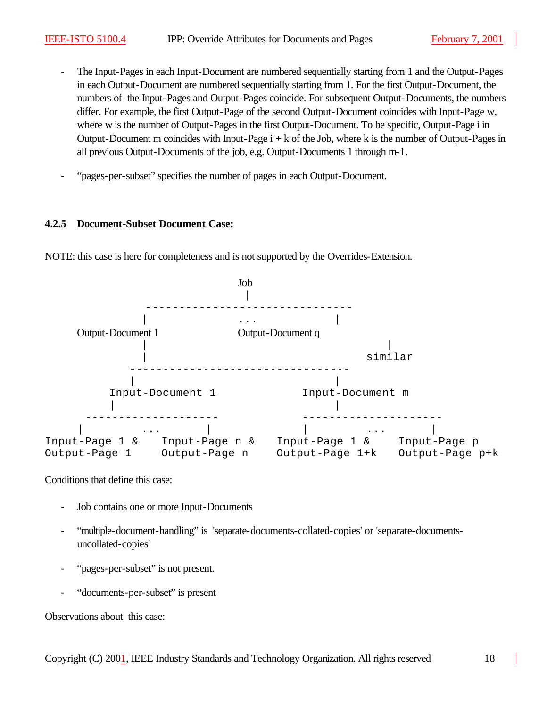- The Input-Pages in each Input-Document are numbered sequentially starting from 1 and the Output-Pages in each Output-Document are numbered sequentially starting from 1. For the first Output-Document, the numbers of the Input-Pages and Output-Pages coincide. For subsequent Output-Documents, the numbers differ. For example, the first Output-Page of the second Output-Document coincides with Input-Page w, where w is the number of Output-Pages in the first Output-Document. To be specific, Output-Page i in Output-Document m coincides with Input-Page  $i + k$  of the Job, where k is the number of Output-Pages in all previous Output-Documents of the job, e.g. Output-Documents 1 through m-1.
- "pages-per-subset" specifies the number of pages in each Output-Document.

#### **4.2.5 Document-Subset Document Case:**



NOTE: this case is here for completeness and is not supported by the Overrides-Extension.

Conditions that define this case:

- Job contains one or more Input-Documents
- "multiple-document-handling" is 'separate-documents-collated-copies' or 'separate-documentsuncollated-copies'
- "pages-per-subset" is not present.
- "documents-per-subset" is present

Observations about this case: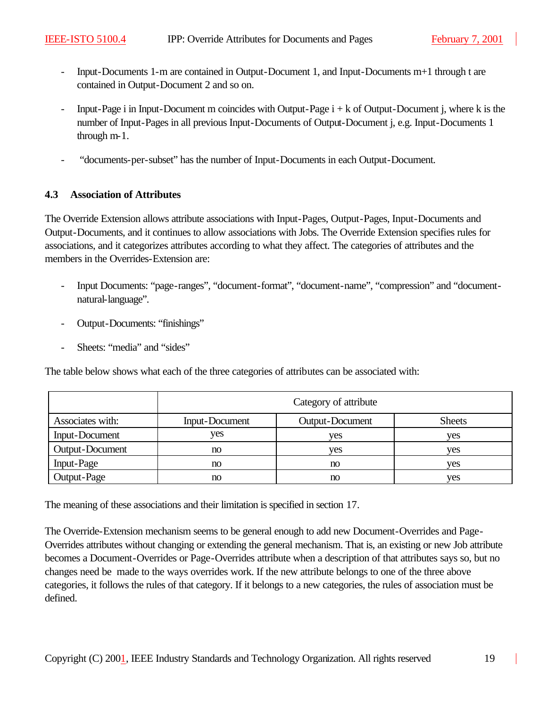- Input-Documents 1-m are contained in Output-Document 1, and Input-Documents m+1 through t are contained in Output-Document 2 and so on.
- Input-Page i in Input-Document m coincides with Output-Page  $i + k$  of Output-Document j, where k is the number of Input-Pages in all previous Input-Documents of Output-Document j, e.g. Input-Documents 1 through m-1.
- "documents-per-subset" has the number of Input-Documents in each Output-Document.

# **4.3 Association of Attributes**

The Override Extension allows attribute associations with Input-Pages, Output-Pages, Input-Documents and Output-Documents, and it continues to allow associations with Jobs. The Override Extension specifies rules for associations, and it categorizes attributes according to what they affect. The categories of attributes and the members in the Overrides-Extension are:

- Input Documents: "page-ranges", "document-format", "document-name", "compression" and "documentnatural-language".
- Output-Documents: "finishings"
- Sheets: "media" and "sides"

The table below shows what each of the three categories of attributes can be associated with:

|                  | Category of attribute |                 |               |
|------------------|-----------------------|-----------------|---------------|
| Associates with: | Input-Document        | Output-Document | <b>Sheets</b> |
| Input-Document   | yes                   | yes             | ves           |
| Output-Document  | no                    | ves             | ves           |
| Input-Page       | no                    | no              | ves           |
| Output-Page      | no                    | no              | ves           |

The meaning of these associations and their limitation is specified in section 17.

The Override-Extension mechanism seems to be general enough to add new Document-Overrides and Page-Overrides attributes without changing or extending the general mechanism. That is, an existing or new Job attribute becomes a Document-Overrides or Page-Overrides attribute when a description of that attributes says so, but no changes need be made to the ways overrides work. If the new attribute belongs to one of the three above categories, it follows the rules of that category. If it belongs to a new categories, the rules of association must be defined.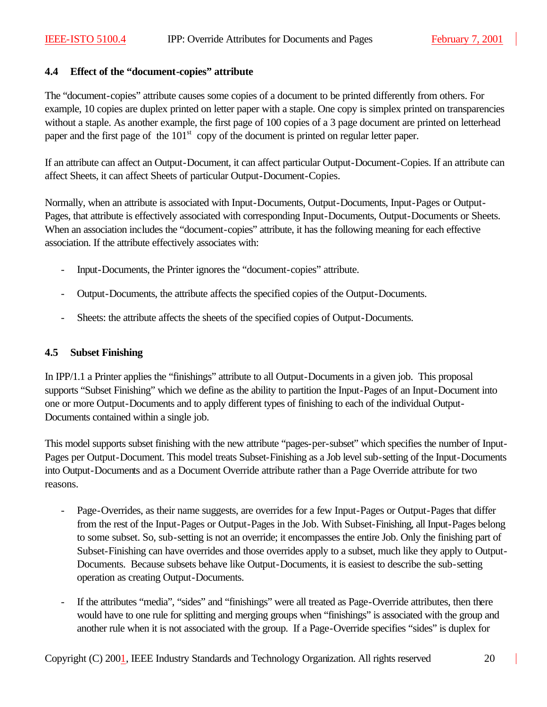#### **4.4 Effect of the "document-copies" attribute**

The "document-copies" attribute causes some copies of a document to be printed differently from others. For example, 10 copies are duplex printed on letter paper with a staple. One copy is simplex printed on transparencies without a staple. As another example, the first page of 100 copies of a 3 page document are printed on letterhead paper and the first page of the  $101<sup>st</sup>$  copy of the document is printed on regular letter paper.

If an attribute can affect an Output-Document, it can affect particular Output-Document-Copies. If an attribute can affect Sheets, it can affect Sheets of particular Output-Document-Copies.

Normally, when an attribute is associated with Input-Documents, Output-Documents, Input-Pages or Output-Pages, that attribute is effectively associated with corresponding Input-Documents, Output-Documents or Sheets. When an association includes the "document-copies" attribute, it has the following meaning for each effective association. If the attribute effectively associates with:

- Input-Documents, the Printer ignores the "document-copies" attribute.
- Output-Documents, the attribute affects the specified copies of the Output-Documents.
- Sheets: the attribute affects the sheets of the specified copies of Output-Documents.

#### **4.5 Subset Finishing**

In IPP/1.1 a Printer applies the "finishings" attribute to all Output-Documents in a given job. This proposal supports "Subset Finishing" which we define as the ability to partition the Input-Pages of an Input-Document into one or more Output-Documents and to apply different types of finishing to each of the individual Output-Documents contained within a single job.

This model supports subset finishing with the new attribute "pages-per-subset" which specifies the number of Input-Pages per Output-Document. This model treats Subset-Finishing as a Job level sub-setting of the Input-Documents into Output-Documents and as a Document Override attribute rather than a Page Override attribute for two reasons.

- Page-Overrides, as their name suggests, are overrides for a few Input-Pages or Output-Pages that differ from the rest of the Input-Pages or Output-Pages in the Job. With Subset-Finishing, all Input-Pages belong to some subset. So, sub-setting is not an override; it encompasses the entire Job. Only the finishing part of Subset-Finishing can have overrides and those overrides apply to a subset, much like they apply to Output-Documents. Because subsets behave like Output-Documents, it is easiest to describe the sub-setting operation as creating Output-Documents.
- If the attributes "media", "sides" and "finishings" were all treated as Page-Override attributes, then there would have to one rule for splitting and merging groups when "finishings" is associated with the group and another rule when it is not associated with the group. If a Page-Override specifies "sides" is duplex for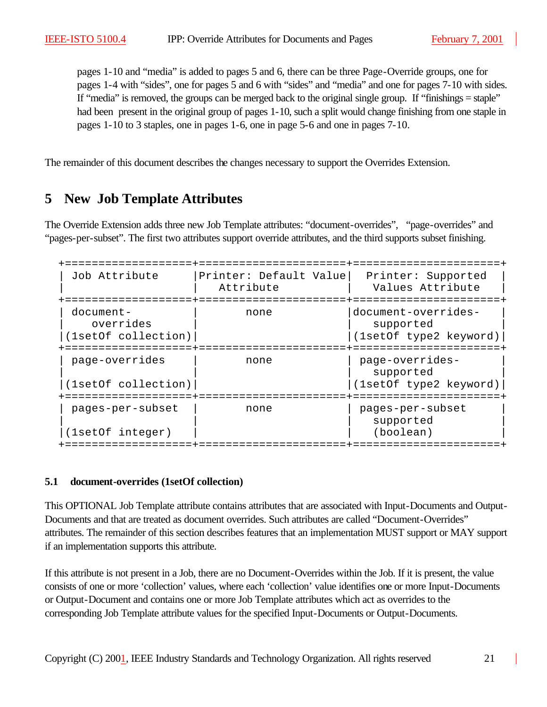pages 1-10 and "media" is added to pages 5 and 6, there can be three Page-Override groups, one for pages 1-4 with "sides", one for pages 5 and 6 with "sides" and "media" and one for pages 7-10 with sides. If "media" is removed, the groups can be merged back to the original single group. If "finishings = staple" had been present in the original group of pages 1-10, such a split would change finishing from one staple in pages 1-10 to 3 staples, one in pages 1-6, one in page 5-6 and one in pages 7-10.

The remainder of this document describes the changes necessary to support the Overrides Extension.

# **5 New Job Template Attributes**

The Override Extension adds three new Job Template attributes: "document-overrides", "page-overrides" and "pages-per-subset". The first two attributes support override attributes, and the third supports subset finishing.

| Job Attribute                                 | Printer: Default Value<br>Attribute | Printer: Supported<br>Values Attribute                     |
|-----------------------------------------------|-------------------------------------|------------------------------------------------------------|
| document-<br>overrides<br>(1setOf collection) | none                                | document-overrides-<br>supported<br>(1setOf type2 keyword) |
| page-overrides<br>(1setOf collection)         | none                                | page-overrides-<br>supported<br>(1setOf type2 keyword)     |
| pages-per-subset<br>(1setOf integer)          | none                                | pages-per-subset<br>supported<br>(boolean)                 |

#### **5.1 document-overrides (1setOf collection)**

This OPTIONAL Job Template attribute contains attributes that are associated with Input-Documents and Output-Documents and that are treated as document overrides. Such attributes are called "Document-Overrides" attributes. The remainder of this section describes features that an implementation MUST support or MAY support if an implementation supports this attribute.

If this attribute is not present in a Job, there are no Document-Overrides within the Job. If it is present, the value consists of one or more 'collection' values, where each 'collection' value identifies one or more Input-Documents or Output-Document and contains one or more Job Template attributes which act as overrides to the corresponding Job Template attribute values for the specified Input-Documents or Output-Documents.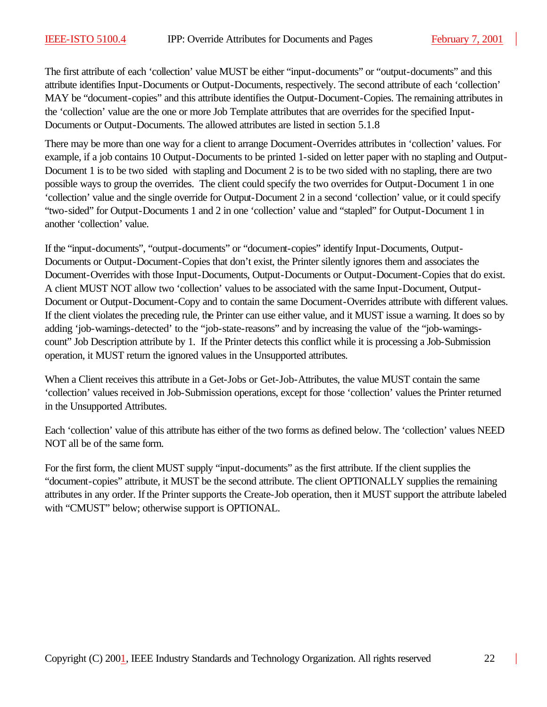The first attribute of each 'collection' value MUST be either "input-documents" or "output-documents" and this attribute identifies Input-Documents or Output-Documents, respectively. The second attribute of each 'collection' MAY be "document-copies" and this attribute identifies the Output-Document-Copies. The remaining attributes in the 'collection' value are the one or more Job Template attributes that are overrides for the specified Input-Documents or Output-Documents. The allowed attributes are listed in section 5.1.8

There may be more than one way for a client to arrange Document-Overrides attributes in 'collection' values. For example, if a job contains 10 Output-Documents to be printed 1-sided on letter paper with no stapling and Output-Document 1 is to be two sided with stapling and Document 2 is to be two sided with no stapling, there are two possible ways to group the overrides. The client could specify the two overrides for Output-Document 1 in one 'collection' value and the single override for Output-Document 2 in a second 'collection' value, or it could specify "two-sided" for Output-Documents 1 and 2 in one 'collection' value and "stapled" for Output-Document 1 in another 'collection' value.

If the "input-documents", "output-documents" or "document-copies" identify Input-Documents, Output-Documents or Output-Document-Copies that don't exist, the Printer silently ignores them and associates the Document-Overrides with those Input-Documents, Output-Documents or Output-Document-Copies that do exist. A client MUST NOT allow two 'collection' values to be associated with the same Input-Document, Output-Document or Output-Document-Copy and to contain the same Document-Overrides attribute with different values. If the client violates the preceding rule, the Printer can use either value, and it MUST issue a warning. It does so by adding 'job-warnings-detected' to the "job-state-reasons" and by increasing the value of the "job-warningscount" Job Description attribute by 1. If the Printer detects this conflict while it is processing a Job-Submission operation, it MUST return the ignored values in the Unsupported attributes.

When a Client receives this attribute in a Get-Jobs or Get-Job-Attributes, the value MUST contain the same 'collection' values received in Job-Submission operations, except for those 'collection' values the Printer returned in the Unsupported Attributes.

Each 'collection' value of this attribute has either of the two forms as defined below. The 'collection' values NEED NOT all be of the same form.

For the first form, the client MUST supply "input-documents" as the first attribute. If the client supplies the "document-copies" attribute, it MUST be the second attribute. The client OPTIONALLY supplies the remaining attributes in any order. If the Printer supports the Create-Job operation, then it MUST support the attribute labeled with "CMUST" below; otherwise support is OPTIONAL.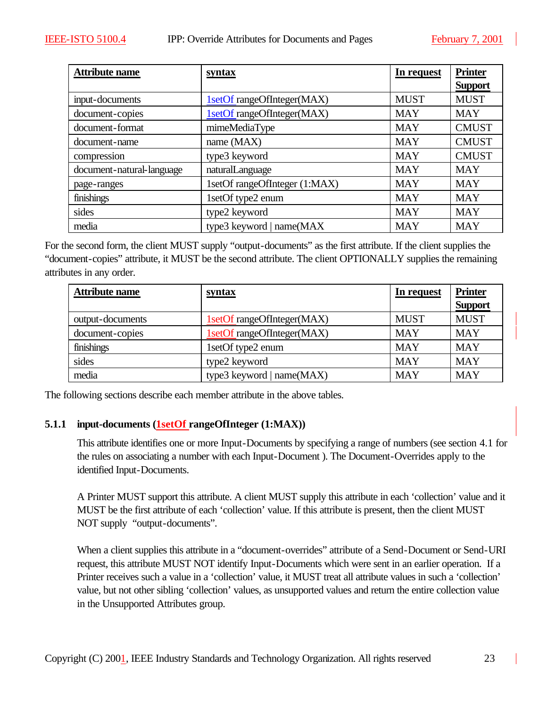| <b>Attribute name</b>     | syntax                        | In request  | <b>Printer</b> |
|---------------------------|-------------------------------|-------------|----------------|
|                           |                               |             | <b>Support</b> |
| input-documents           | 1setOf rangeOfInteger(MAX)    | <b>MUST</b> | <b>MUST</b>    |
| document-copies           | 1setOf rangeOfInteger(MAX)    | <b>MAY</b>  | <b>MAY</b>     |
| document-format           | mimeMediaType                 | <b>MAY</b>  | <b>CMUST</b>   |
| document-name             | name (MAX)                    | <b>MAY</b>  | <b>CMUST</b>   |
| compression               | type3 keyword                 | <b>MAY</b>  | <b>CMUST</b>   |
| document-natural-language | naturalLanguage               | <b>MAY</b>  | <b>MAY</b>     |
| page-ranges               | 1setOf rangeOfInteger (1:MAX) | <b>MAY</b>  | <b>MAY</b>     |
| finishings                | 1setOf type2 enum             | <b>MAY</b>  | <b>MAY</b>     |
| sides                     | type2 keyword                 | <b>MAY</b>  | <b>MAY</b>     |
| media                     | type3 keyword   name(MAX      | <b>MAY</b>  | <b>MAY</b>     |

For the second form, the client MUST supply "output-documents" as the first attribute. If the client supplies the "document-copies" attribute, it MUST be the second attribute. The client OPTIONALLY supplies the remaining attributes in any order.

| <b>Attribute name</b> | <u>syntax</u>               | In request  | <b>Printer</b> |
|-----------------------|-----------------------------|-------------|----------------|
|                       |                             |             | <b>Support</b> |
| output-documents      | 1setOf rangeOfInteger(MAX)  | <b>MUST</b> | <b>MUST</b>    |
| document-copies       | 1setOf rangeOfInteger(MAX)  | <b>MAY</b>  | <b>MAY</b>     |
| finishings            | 1setOf type2 enum           | <b>MAY</b>  | <b>MAY</b>     |
| sides                 | type2 keyword               | <b>MAY</b>  | <b>MAY</b>     |
| media                 | type3 keyword   $name(MAX)$ | <b>MAY</b>  | <b>MAY</b>     |

The following sections describe each member attribute in the above tables.

# **5.1.1 input-documents (1setOf rangeOfInteger (1:MAX))**

This attribute identifies one or more Input-Documents by specifying a range of numbers (see section 4.1 for the rules on associating a number with each Input-Document ). The Document-Overrides apply to the identified Input-Documents.

A Printer MUST support this attribute. A client MUST supply this attribute in each 'collection' value and it MUST be the first attribute of each 'collection' value. If this attribute is present, then the client MUST NOT supply "output-documents".

When a client supplies this attribute in a "document-overrides" attribute of a Send-Document or Send-URI request, this attribute MUST NOT identify Input-Documents which were sent in an earlier operation. If a Printer receives such a value in a 'collection' value, it MUST treat all attribute values in such a 'collection' value, but not other sibling 'collection' values, as unsupported values and return the entire collection value in the Unsupported Attributes group.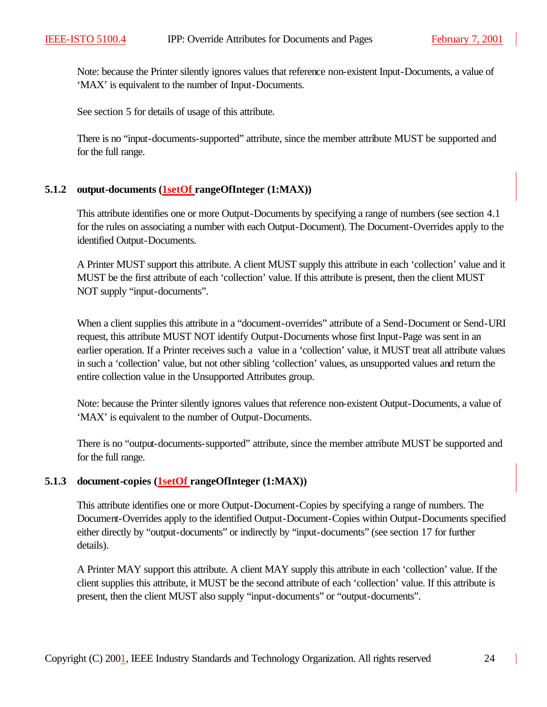Note: because the Printer silently ignores values that reference non-existent Input-Documents, a value of 'MAX' is equivalent to the number of Input-Documents.

See section 5 for details of usage of this attribute.

There is no "input-documents-supported" attribute, since the member attribute MUST be supported and for the full range.

#### **5.1.2 output-documents (1setOf rangeOfInteger (1:MAX))**

This attribute identifies one or more Output-Documents by specifying a range of numbers (see section 4.1 for the rules on associating a number with each Output-Document). The Document-Overrides apply to the identified Output-Documents.

A Printer MUST support this attribute. A client MUST supply this attribute in each 'collection' value and it MUST be the first attribute of each 'collection' value. If this attribute is present, then the client MUST NOT supply "input-documents".

When a client supplies this attribute in a "document-overrides" attribute of a Send-Document or Send-URI request, this attribute MUST NOT identify Output-Documents whose first Input-Page was sent in an earlier operation. If a Printer receives such a value in a 'collection' value, it MUST treat all attribute values in such a 'collection' value, but not other sibling 'collection' values, as unsupported values and return the entire collection value in the Unsupported Attributes group.

Note: because the Printer silently ignores values that reference non-existent Output-Documents, a value of 'MAX' is equivalent to the number of Output-Documents.

There is no "output-documents-supported" attribute, since the member attribute MUST be supported and for the full range.

# **5.1.3 document-copies (1setOf rangeOfInteger (1:MAX))**

This attribute identifies one or more Output-Document-Copies by specifying a range of numbers. The Document-Overrides apply to the identified Output-Document-Copies within Output-Documents specified either directly by "output-documents" or indirectly by "input-documents" (see section 17 for further details).

A Printer MAY support this attribute. A client MAY supply this attribute in each 'collection' value. If the client supplies this attribute, it MUST be the second attribute of each 'collection' value. If this attribute is present, then the client MUST also supply "input-documents" or "output-documents".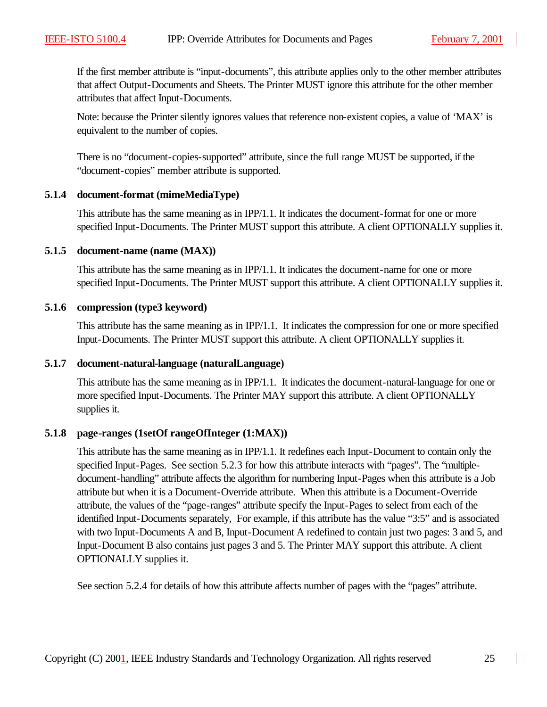If the first member attribute is "input-documents", this attribute applies only to the other member attributes that affect Output-Documents and Sheets. The Printer MUST ignore this attribute for the other member attributes that affect Input-Documents.

Note: because the Printer silently ignores values that reference non-existent copies, a value of 'MAX' is equivalent to the number of copies.

There is no "document-copies-supported" attribute, since the full range MUST be supported, if the "document-copies" member attribute is supported.

#### **5.1.4 document-format (mimeMediaType)**

This attribute has the same meaning as in IPP/1.1. It indicates the document-format for one or more specified Input-Documents. The Printer MUST support this attribute. A client OPTIONALLY supplies it.

#### **5.1.5 document-name (name (MAX))**

This attribute has the same meaning as in IPP/1.1. It indicates the document-name for one or more specified Input-Documents. The Printer MUST support this attribute. A client OPTIONALLY supplies it.

#### **5.1.6 compression (type3 keyword)**

This attribute has the same meaning as in IPP/1.1. It indicates the compression for one or more specified Input-Documents. The Printer MUST support this attribute. A client OPTIONALLY supplies it.

#### **5.1.7 document-natural-language (naturalLanguage)**

This attribute has the same meaning as in IPP/1.1. It indicates the document-natural-language for one or more specified Input-Documents. The Printer MAY support this attribute. A client OPTIONALLY supplies it.

#### **5.1.8 page-ranges (1setOf rangeOfInteger (1:MAX))**

This attribute has the same meaning as in IPP/1.1. It redefines each Input-Document to contain only the specified Input-Pages. See section 5.2.3 for how this attribute interacts with "pages". The "multipledocument-handling" attribute affects the algorithm for numbering Input-Pages when this attribute is a Job attribute but when it is a Document-Override attribute. When this attribute is a Document-Override attribute, the values of the "page-ranges" attribute specify the Input-Pages to select from each of the identified Input-Documents separately, For example, if this attribute has the value "3:5" and is associated with two Input-Documents A and B, Input-Document A redefined to contain just two pages: 3 and 5, and Input-Document B also contains just pages 3 and 5. The Printer MAY support this attribute. A client OPTIONALLY supplies it.

See section 5.2.4 for details of how this attribute affects number of pages with the "pages" attribute.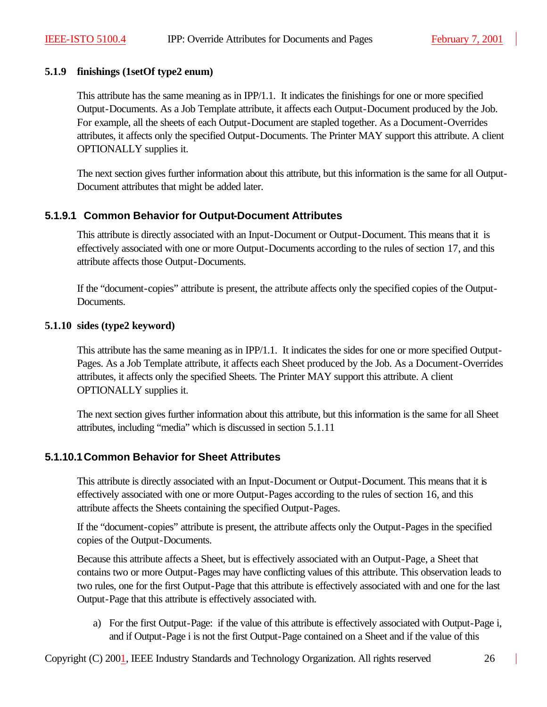### **5.1.9 finishings (1setOf type2 enum)**

This attribute has the same meaning as in IPP/1.1. It indicates the finishings for one or more specified Output-Documents. As a Job Template attribute, it affects each Output-Document produced by the Job. For example, all the sheets of each Output-Document are stapled together. As a Document-Overrides attributes, it affects only the specified Output-Documents. The Printer MAY support this attribute. A client OPTIONALLY supplies it.

The next section gives further information about this attribute, but this information is the same for all Output-Document attributes that might be added later.

# **5.1.9.1 Common Behavior for Output-Document Attributes**

This attribute is directly associated with an Input-Document or Output-Document. This means that it is effectively associated with one or more Output-Documents according to the rules of section 17, and this attribute affects those Output-Documents.

If the "document-copies" attribute is present, the attribute affects only the specified copies of the Output-Documents.

#### **5.1.10 sides (type2 keyword)**

This attribute has the same meaning as in IPP/1.1. It indicates the sides for one or more specified Output-Pages. As a Job Template attribute, it affects each Sheet produced by the Job. As a Document-Overrides attributes, it affects only the specified Sheets. The Printer MAY support this attribute. A client OPTIONALLY supplies it.

The next section gives further information about this attribute, but this information is the same for all Sheet attributes, including "media" which is discussed in section 5.1.11

# **5.1.10.1Common Behavior for Sheet Attributes**

This attribute is directly associated with an Input-Document or Output-Document. This means that it is effectively associated with one or more Output-Pages according to the rules of section 16, and this attribute affects the Sheets containing the specified Output-Pages.

If the "document-copies" attribute is present, the attribute affects only the Output-Pages in the specified copies of the Output-Documents.

Because this attribute affects a Sheet, but is effectively associated with an Output-Page, a Sheet that contains two or more Output-Pages may have conflicting values of this attribute. This observation leads to two rules, one for the first Output-Page that this attribute is effectively associated with and one for the last Output-Page that this attribute is effectively associated with.

a) For the first Output-Page: if the value of this attribute is effectively associated with Output-Page i, and if Output-Page i is not the first Output-Page contained on a Sheet and if the value of this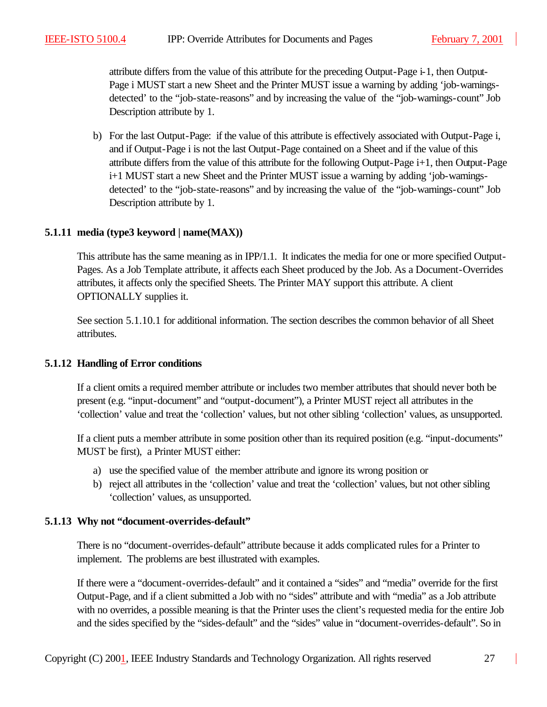attribute differs from the value of this attribute for the preceding Output-Page i-1, then Output-Page i MUST start a new Sheet and the Printer MUST issue a warning by adding 'job-warningsdetected' to the "job-state-reasons" and by increasing the value of the "job-warnings-count" Job Description attribute by 1.

b) For the last Output-Page: if the value of this attribute is effectively associated with Output-Page i, and if Output-Page i is not the last Output-Page contained on a Sheet and if the value of this attribute differs from the value of this attribute for the following Output-Page  $i+1$ , then Output-Page i+1 MUST start a new Sheet and the Printer MUST issue a warning by adding 'job-warningsdetected' to the "job-state-reasons" and by increasing the value of the "job-warnings-count" Job Description attribute by 1.

# **5.1.11 media (type3 keyword | name(MAX))**

This attribute has the same meaning as in IPP/1.1. It indicates the media for one or more specified Output-Pages. As a Job Template attribute, it affects each Sheet produced by the Job. As a Document-Overrides attributes, it affects only the specified Sheets. The Printer MAY support this attribute. A client OPTIONALLY supplies it.

See section 5.1.10.1 for additional information. The section describes the common behavior of all Sheet attributes.

#### **5.1.12 Handling of Error conditions**

If a client omits a required member attribute or includes two member attributes that should never both be present (e.g. "input-document" and "output-document"), a Printer MUST reject all attributes in the 'collection' value and treat the 'collection' values, but not other sibling 'collection' values, as unsupported.

If a client puts a member attribute in some position other than its required position (e.g. "input-documents" MUST be first), a Printer MUST either:

- a) use the specified value of the member attribute and ignore its wrong position or
- b) reject all attributes in the 'collection' value and treat the 'collection' values, but not other sibling 'collection' values, as unsupported.

#### **5.1.13 Why not "document-overrides-default"**

There is no "document-overrides-default" attribute because it adds complicated rules for a Printer to implement. The problems are best illustrated with examples.

If there were a "document-overrides-default" and it contained a "sides" and "media" override for the first Output-Page, and if a client submitted a Job with no "sides" attribute and with "media" as a Job attribute with no overrides, a possible meaning is that the Printer uses the client's requested media for the entire Job and the sides specified by the "sides-default" and the "sides" value in "document-overrides-default". So in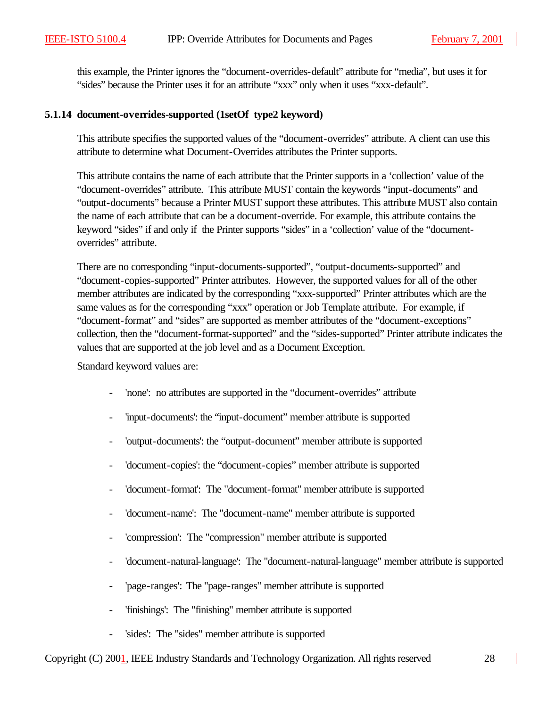this example, the Printer ignores the "document-overrides-default" attribute for "media", but uses it for "sides" because the Printer uses it for an attribute "xxx" only when it uses "xxx-default".

#### **5.1.14 document-overrides-supported (1setOf type2 keyword)**

This attribute specifies the supported values of the "document-overrides" attribute. A client can use this attribute to determine what Document-Overrides attributes the Printer supports.

This attribute contains the name of each attribute that the Printer supports in a 'collection' value of the "document-overrides" attribute. This attribute MUST contain the keywords "input-documents" and "output-documents" because a Printer MUST support these attributes. This attribute MUST also contain the name of each attribute that can be a document-override. For example, this attribute contains the keyword "sides" if and only if the Printer supports "sides" in a 'collection' value of the "documentoverrides" attribute.

There are no corresponding "input-documents-supported", "output-documents-supported" and "document-copies-supported" Printer attributes. However, the supported values for all of the other member attributes are indicated by the corresponding "xxx-supported" Printer attributes which are the same values as for the corresponding "xxx" operation or Job Template attribute. For example, if "document-format" and "sides" are supported as member attributes of the "document-exceptions" collection, then the "document-format-supported" and the "sides-supported" Printer attribute indicates the values that are supported at the job level and as a Document Exception.

Standard keyword values are:

- 'none': no attributes are supported in the "document-overrides" attribute
- 'input-documents': the "input-document" member attribute is supported
- 'output-documents': the "output-document" member attribute is supported
- 'document-copies': the "document-copies" member attribute is supported
- 'document-format': The "document-format" member attribute is supported
- 'document-name': The "document-name" member attribute is supported
- 'compression': The "compression" member attribute is supported
- 'document-natural-language': The "document-natural-language" member attribute is supported
- 'page-ranges': The "page-ranges" member attribute is supported
- 'finishings': The "finishing" member attribute is supported
- 'sides': The "sides" member attribute is supported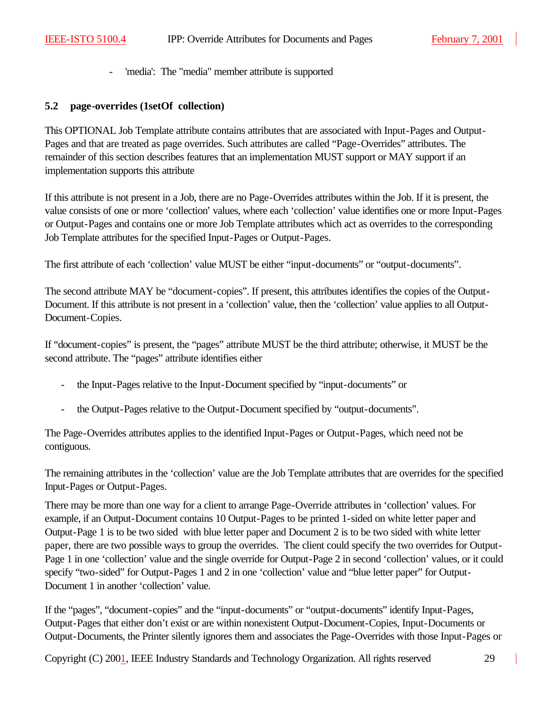- 'media': The "media" member attribute is supported

#### **5.2 page-overrides (1setOf collection)**

This OPTIONAL Job Template attribute contains attributes that are associated with Input-Pages and Output-Pages and that are treated as page overrides. Such attributes are called "Page-Overrides" attributes. The remainder of this section describes features that an implementation MUST support or MAY support if an implementation supports this attribute

If this attribute is not present in a Job, there are no Page-Overrides attributes within the Job. If it is present, the value consists of one or more 'collection' values, where each 'collection' value identifies one or more Input-Pages or Output-Pages and contains one or more Job Template attributes which act as overrides to the corresponding Job Template attributes for the specified Input-Pages or Output-Pages.

The first attribute of each 'collection' value MUST be either "input-documents" or "output-documents".

The second attribute MAY be "document-copies". If present, this attributes identifies the copies of the Output-Document. If this attribute is not present in a 'collection' value, then the 'collection' value applies to all Output-Document-Copies.

If "document-copies" is present, the "pages" attribute MUST be the third attribute; otherwise, it MUST be the second attribute. The "pages" attribute identifies either

- the Input-Pages relative to the Input-Document specified by "input-documents" or
- the Output-Pages relative to the Output-Document specified by "output-documents".

The Page-Overrides attributes applies to the identified Input-Pages or Output-Pages, which need not be contiguous.

The remaining attributes in the 'collection' value are the Job Template attributes that are overrides for the specified Input-Pages or Output-Pages.

There may be more than one way for a client to arrange Page-Override attributes in 'collection' values. For example, if an Output-Document contains 10 Output-Pages to be printed 1-sided on white letter paper and Output-Page 1 is to be two sided with blue letter paper and Document 2 is to be two sided with white letter paper, there are two possible ways to group the overrides. The client could specify the two overrides for Output-Page 1 in one 'collection' value and the single override for Output-Page 2 in second 'collection' values, or it could specify "two-sided" for Output-Pages 1 and 2 in one 'collection' value and "blue letter paper" for Output-Document 1 in another 'collection' value.

If the "pages", "document-copies" and the "input-documents" or "output-documents" identify Input-Pages, Output-Pages that either don't exist or are within nonexistent Output-Document-Copies, Input-Documents or Output-Documents, the Printer silently ignores them and associates the Page-Overrides with those Input-Pages or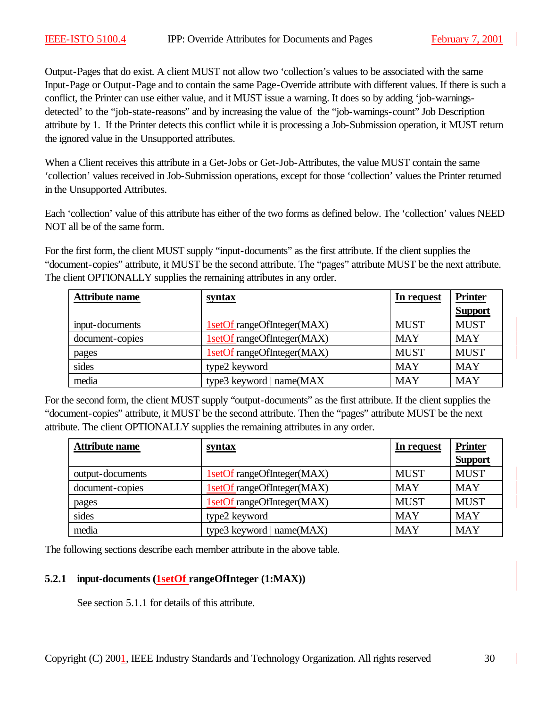Output-Pages that do exist. A client MUST not allow two 'collection's values to be associated with the same Input-Page or Output-Page and to contain the same Page-Override attribute with different values. If there is such a conflict, the Printer can use either value, and it MUST issue a warning. It does so by adding 'job-warningsdetected' to the "job-state-reasons" and by increasing the value of the "job-warnings-count" Job Description attribute by 1. If the Printer detects this conflict while it is processing a Job-Submission operation, it MUST return the ignored value in the Unsupported attributes.

When a Client receives this attribute in a Get-Jobs or Get-Job-Attributes, the value MUST contain the same 'collection' values received in Job-Submission operations, except for those 'collection' values the Printer returned in the Unsupported Attributes.

Each 'collection' value of this attribute has either of the two forms as defined below. The 'collection' values NEED NOT all be of the same form.

For the first form, the client MUST supply "input-documents" as the first attribute. If the client supplies the "document-copies" attribute, it MUST be the second attribute. The "pages" attribute MUST be the next attribute. The client OPTIONALLY supplies the remaining attributes in any order.

| <b>Attribute name</b> | syntax                      | In request  | <b>Printer</b> |
|-----------------------|-----------------------------|-------------|----------------|
|                       |                             |             | <b>Support</b> |
| input-documents       | 1setOf rangeOfInteger(MAX)  | <b>MUST</b> | <b>MUST</b>    |
| document-copies       | 1setOf rangeOfInteger(MAX)  | <b>MAY</b>  | <b>MAY</b>     |
| pages                 | 1setOf rangeOfInteger(MAX)  | <b>MUST</b> | <b>MUST</b>    |
| sides                 | type2 keyword               | <b>MAY</b>  | <b>MAY</b>     |
| media                 | type3 keyword   $name(MAX)$ | <b>MAY</b>  | <b>MAY</b>     |

For the second form, the client MUST supply "output-documents" as the first attribute. If the client supplies the "document-copies" attribute, it MUST be the second attribute. Then the "pages" attribute MUST be the next attribute. The client OPTIONALLY supplies the remaining attributes in any order.

| <b>Attribute name</b> | syntax                     | In request  | <b>Printer</b> |
|-----------------------|----------------------------|-------------|----------------|
|                       |                            |             | <b>Support</b> |
| output-documents      | 1setOf rangeOfInteger(MAX) | <b>MUST</b> | <b>MUST</b>    |
| document-copies       | 1setOf rangeOfInteger(MAX) | <b>MAY</b>  | <b>MAY</b>     |
| pages                 | 1setOf rangeOfInteger(MAX) | <b>MUST</b> | <b>MUST</b>    |
| sides                 | type2 keyword              | <b>MAY</b>  | <b>MAY</b>     |
| media                 | type3 keyword   name(MAX)  | <b>MAY</b>  | <b>MAY</b>     |

The following sections describe each member attribute in the above table.

# **5.2.1 input-documents (1setOf rangeOfInteger (1:MAX))**

See section 5.1.1 for details of this attribute.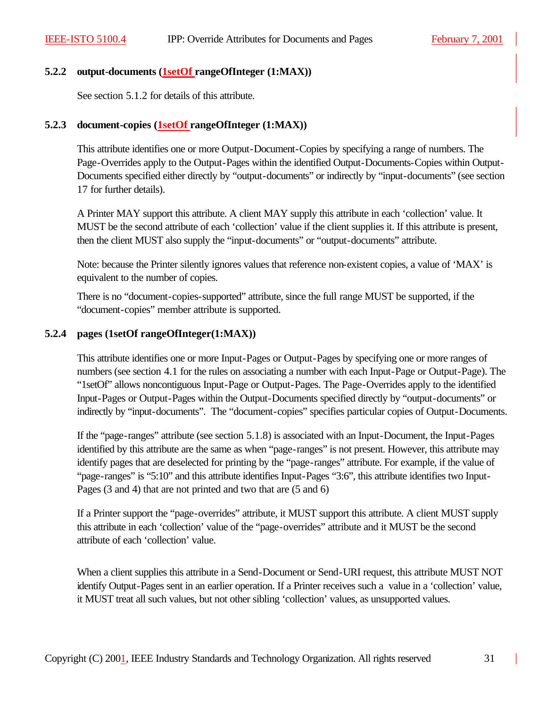#### **5.2.2 output-documents (1setOf rangeOfInteger (1:MAX))**

See section 5.1.2 for details of this attribute.

#### **5.2.3 document-copies (1setOf rangeOfInteger (1:MAX))**

This attribute identifies one or more Output-Document-Copies by specifying a range of numbers. The Page-Overrides apply to the Output-Pages within the identified Output-Documents-Copies within Output-Documents specified either directly by "output-documents" or indirectly by "input-documents" (see section 17 for further details).

A Printer MAY support this attribute. A client MAY supply this attribute in each 'collection' value. It MUST be the second attribute of each 'collection' value if the client supplies it. If this attribute is present, then the client MUST also supply the "input-documents" or "output-documents" attribute.

Note: because the Printer silently ignores values that reference non-existent copies, a value of 'MAX' is equivalent to the number of copies.

There is no "document-copies-supported" attribute, since the full range MUST be supported, if the "document-copies" member attribute is supported.

#### **5.2.4 pages (1setOf rangeOfInteger(1:MAX))**

This attribute identifies one or more Input-Pages or Output-Pages by specifying one or more ranges of numbers (see section 4.1 for the rules on associating a number with each Input-Page or Output-Page). The "1setOf" allows noncontiguous Input-Page or Output-Pages. The Page-Overrides apply to the identified Input-Pages or Output-Pages within the Output-Documents specified directly by "output-documents" or indirectly by "input-documents". The "document-copies" specifies particular copies of Output-Documents.

If the "page-ranges" attribute (see section 5.1.8) is associated with an Input-Document, the Input-Pages identified by this attribute are the same as when "page-ranges" is not present. However, this attribute may identify pages that are deselected for printing by the "page-ranges" attribute. For example, if the value of "page-ranges" is "5:10" and this attribute identifies Input-Pages "3:6", this attribute identifies two Input-Pages (3 and 4) that are not printed and two that are (5 and 6)

If a Printer support the "page-overrides" attribute, it MUST support this attribute. A client MUST supply this attribute in each 'collection' value of the "page-overrides" attribute and it MUST be the second attribute of each 'collection' value.

When a client supplies this attribute in a Send-Document or Send-URI request, this attribute MUST NOT identify Output-Pages sent in an earlier operation. If a Printer receives such a value in a 'collection' value, it MUST treat all such values, but not other sibling 'collection' values, as unsupported values.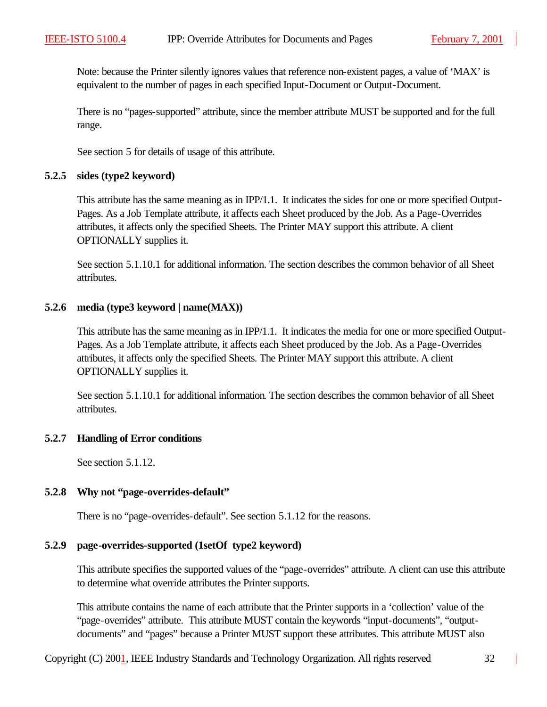Note: because the Printer silently ignores values that reference non-existent pages, a value of 'MAX' is equivalent to the number of pages in each specified Input-Document or Output-Document.

There is no "pages-supported" attribute, since the member attribute MUST be supported and for the full range.

See section 5 for details of usage of this attribute.

#### **5.2.5 sides (type2 keyword)**

This attribute has the same meaning as in IPP/1.1. It indicates the sides for one or more specified Output-Pages. As a Job Template attribute, it affects each Sheet produced by the Job. As a Page-Overrides attributes, it affects only the specified Sheets. The Printer MAY support this attribute. A client OPTIONALLY supplies it.

See section 5.1.10.1 for additional information. The section describes the common behavior of all Sheet attributes.

# **5.2.6 media (type3 keyword | name(MAX))**

This attribute has the same meaning as in IPP/1.1. It indicates the media for one or more specified Output-Pages. As a Job Template attribute, it affects each Sheet produced by the Job. As a Page-Overrides attributes, it affects only the specified Sheets. The Printer MAY support this attribute. A client OPTIONALLY supplies it.

See section 5.1.10.1 for additional information. The section describes the common behavior of all Sheet attributes.

# **5.2.7 Handling of Error conditions**

See section 5.1.12.

# **5.2.8 Why not "page-overrides-default"**

There is no "page-overrides-default". See section 5.1.12 for the reasons.

# **5.2.9 page-overrides-supported (1setOf type2 keyword)**

This attribute specifies the supported values of the "page-overrides" attribute. A client can use this attribute to determine what override attributes the Printer supports.

This attribute contains the name of each attribute that the Printer supports in a 'collection' value of the "page-overrides" attribute. This attribute MUST contain the keywords "input-documents", "outputdocuments" and "pages" because a Printer MUST support these attributes. This attribute MUST also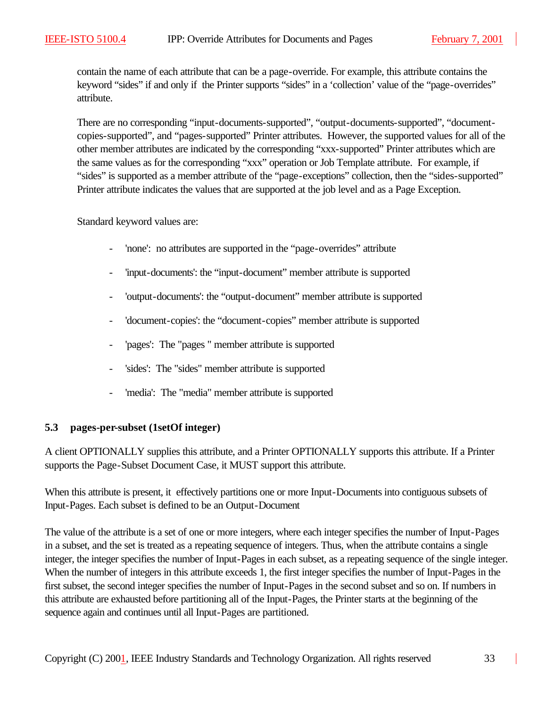contain the name of each attribute that can be a page-override. For example, this attribute contains the keyword "sides" if and only if the Printer supports "sides" in a 'collection' value of the "page-overrides" attribute.

There are no corresponding "input-documents-supported", "output-documents-supported", "documentcopies-supported", and "pages-supported" Printer attributes. However, the supported values for all of the other member attributes are indicated by the corresponding "xxx-supported" Printer attributes which are the same values as for the corresponding "xxx" operation or Job Template attribute. For example, if "sides" is supported as a member attribute of the "page-exceptions" collection, then the "sides-supported" Printer attribute indicates the values that are supported at the job level and as a Page Exception.

Standard keyword values are:

- 'none': no attributes are supported in the "page-overrides" attribute
- 'input-documents': the "input-document" member attribute is supported
- 'output-documents': the "output-document" member attribute is supported
- 'document-copies': the "document-copies" member attribute is supported
- 'pages': The "pages" member attribute is supported
- 'sides': The "sides" member attribute is supported
- 'media': The "media" member attribute is supported

#### **5.3 pages-per-subset (1setOf integer)**

A client OPTIONALLY supplies this attribute, and a Printer OPTIONALLY supports this attribute. If a Printer supports the Page-Subset Document Case, it MUST support this attribute.

When this attribute is present, it effectively partitions one or more Input-Documents into contiguous subsets of Input-Pages. Each subset is defined to be an Output-Document

The value of the attribute is a set of one or more integers, where each integer specifies the number of Input-Pages in a subset, and the set is treated as a repeating sequence of integers. Thus, when the attribute contains a single integer, the integer specifies the number of Input-Pages in each subset, as a repeating sequence of the single integer. When the number of integers in this attribute exceeds 1, the first integer specifies the number of Input-Pages in the first subset, the second integer specifies the number of Input-Pages in the second subset and so on. If numbers in this attribute are exhausted before partitioning all of the Input-Pages, the Printer starts at the beginning of the sequence again and continues until all Input-Pages are partitioned.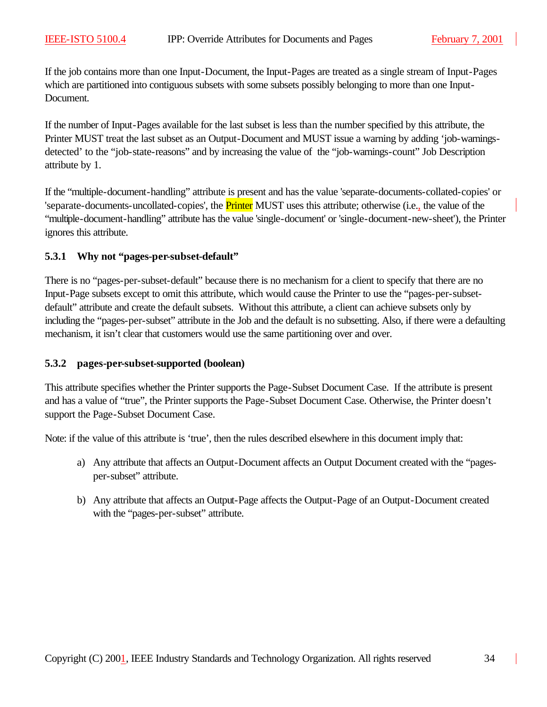If the job contains more than one Input-Document, the Input-Pages are treated as a single stream of Input-Pages which are partitioned into contiguous subsets with some subsets possibly belonging to more than one Input-Document.

If the number of Input-Pages available for the last subset is less than the number specified by this attribute, the Printer MUST treat the last subset as an Output-Document and MUST issue a warning by adding 'job-warningsdetected' to the "job-state-reasons" and by increasing the value of the "job-warnings-count" Job Description attribute by 1.

If the "multiple-document-handling" attribute is present and has the value 'separate-documents-collated-copies' or 'separate-documents-uncollated-copies', the **Printer** MUST uses this attribute; otherwise (i.e., the value of the "multiple-document-handling" attribute has the value 'single-document' or 'single-document-new-sheet'), the Printer ignores this attribute.

#### **5.3.1 Why not "pages-per-subset-default"**

There is no "pages-per-subset-default" because there is no mechanism for a client to specify that there are no Input-Page subsets except to omit this attribute, which would cause the Printer to use the "pages-per-subsetdefault" attribute and create the default subsets. Without this attribute, a client can achieve subsets only by including the "pages-per-subset" attribute in the Job and the default is no subsetting. Also, if there were a defaulting mechanism, it isn't clear that customers would use the same partitioning over and over.

#### **5.3.2 pages-per-subset-supported (boolean)**

This attribute specifies whether the Printer supports the Page-Subset Document Case. If the attribute is present and has a value of "true", the Printer supports the Page-Subset Document Case. Otherwise, the Printer doesn't support the Page-Subset Document Case.

Note: if the value of this attribute is 'true', then the rules described elsewhere in this document imply that:

- a) Any attribute that affects an Output-Document affects an Output Document created with the "pagesper-subset" attribute.
- b) Any attribute that affects an Output-Page affects the Output-Page of an Output-Document created with the "pages-per-subset" attribute.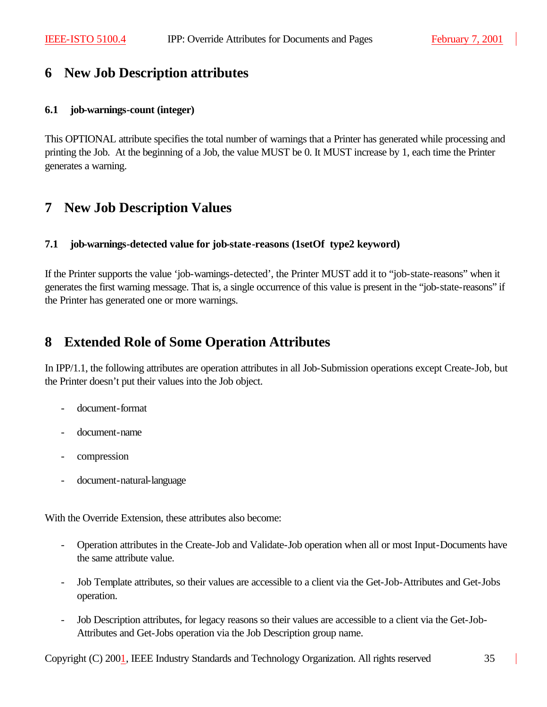# **6 New Job Description attributes**

#### **6.1 job-warnings-count (integer)**

This OPTIONAL attribute specifies the total number of warnings that a Printer has generated while processing and printing the Job. At the beginning of a Job, the value MUST be 0. It MUST increase by 1, each time the Printer generates a warning.

# **7 New Job Description Values**

#### **7.1 job-warnings-detected value for job-state-reasons (1setOf type2 keyword)**

If the Printer supports the value 'job-warnings-detected', the Printer MUST add it to "job-state-reasons" when it generates the first warning message. That is, a single occurrence of this value is present in the "job-state-reasons" if the Printer has generated one or more warnings.

# **8 Extended Role of Some Operation Attributes**

In IPP/1.1, the following attributes are operation attributes in all Job-Submission operations except Create-Job, but the Printer doesn't put their values into the Job object.

- document-format
- document-name
- compression
- document-natural-language

With the Override Extension, these attributes also become:

- Operation attributes in the Create-Job and Validate-Job operation when all or most Input-Documents have the same attribute value.
- Job Template attributes, so their values are accessible to a client via the Get-Job-Attributes and Get-Jobs operation.
- Job Description attributes, for legacy reasons so their values are accessible to a client via the Get-Job-Attributes and Get-Jobs operation via the Job Description group name.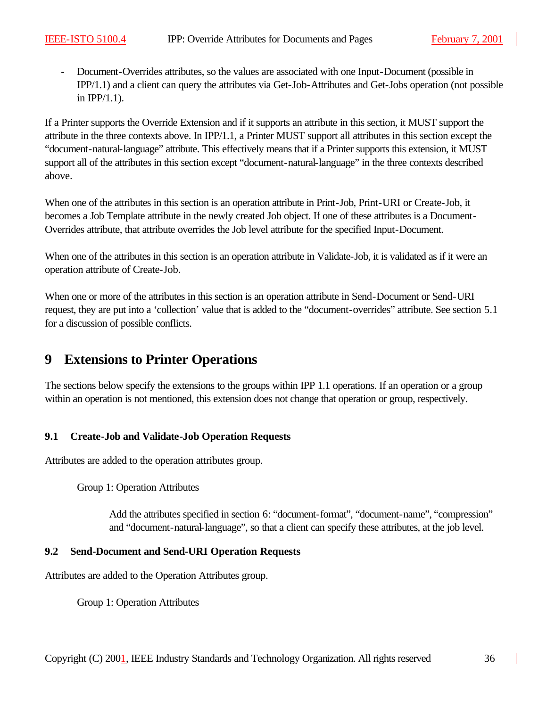- Document-Overrides attributes, so the values are associated with one Input-Document (possible in IPP/1.1) and a client can query the attributes via Get-Job-Attributes and Get-Jobs operation (not possible in IPP/1.1).

If a Printer supports the Override Extension and if it supports an attribute in this section, it MUST support the attribute in the three contexts above. In IPP/1.1, a Printer MUST support all attributes in this section except the "document-natural-language" attribute. This effectively means that if a Printer supports this extension, it MUST support all of the attributes in this section except "document-natural-language" in the three contexts described above.

When one of the attributes in this section is an operation attribute in Print-Job, Print-URI or Create-Job, it becomes a Job Template attribute in the newly created Job object. If one of these attributes is a Document-Overrides attribute, that attribute overrides the Job level attribute for the specified Input-Document.

When one of the attributes in this section is an operation attribute in Validate-Job, it is validated as if it were an operation attribute of Create-Job.

When one or more of the attributes in this section is an operation attribute in Send-Document or Send-URI request, they are put into a 'collection' value that is added to the "document-overrides" attribute. See section 5.1 for a discussion of possible conflicts.

# **9 Extensions to Printer Operations**

The sections below specify the extensions to the groups within IPP 1.1 operations. If an operation or a group within an operation is not mentioned, this extension does not change that operation or group, respectively.

# **9.1 Create-Job and Validate-Job Operation Requests**

Attributes are added to the operation attributes group.

Group 1: Operation Attributes

Add the attributes specified in section 6: "document-format", "document-name", "compression" and "document-natural-language", so that a client can specify these attributes, at the job level.

# **9.2 Send-Document and Send-URI Operation Requests**

Attributes are added to the Operation Attributes group.

Group 1: Operation Attributes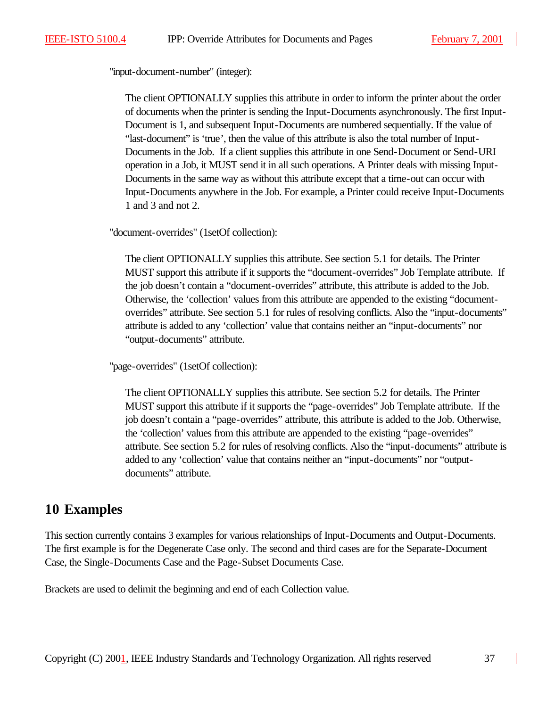"input-document-number" (integer):

The client OPTIONALLY supplies this attribute in order to inform the printer about the order of documents when the printer is sending the Input-Documents asynchronously. The first Input-Document is 1, and subsequent Input-Documents are numbered sequentially. If the value of "last-document" is 'true', then the value of this attribute is also the total number of Input-Documents in the Job. If a client supplies this attribute in one Send-Document or Send-URI operation in a Job, it MUST send it in all such operations. A Printer deals with missing Input-Documents in the same way as without this attribute except that a time-out can occur with Input-Documents anywhere in the Job. For example, a Printer could receive Input-Documents 1 and 3 and not 2.

"document-overrides" (1setOf collection):

The client OPTIONALLY supplies this attribute. See section 5.1 for details. The Printer MUST support this attribute if it supports the "document-overrides" Job Template attribute. If the job doesn't contain a "document-overrides" attribute, this attribute is added to the Job. Otherwise, the 'collection' values from this attribute are appended to the existing "documentoverrides" attribute. See section 5.1 for rules of resolving conflicts. Also the "input-documents" attribute is added to any 'collection' value that contains neither an "input-documents" nor "output-documents" attribute.

"page-overrides" (1setOf collection):

The client OPTIONALLY supplies this attribute. See section 5.2 for details. The Printer MUST support this attribute if it supports the "page-overrides" Job Template attribute. If the job doesn't contain a "page-overrides" attribute, this attribute is added to the Job. Otherwise, the 'collection' values from this attribute are appended to the existing "page-overrides" attribute. See section 5.2 for rules of resolving conflicts. Also the "input-documents" attribute is added to any 'collection' value that contains neither an "input-documents" nor "outputdocuments" attribute.

# **10 Examples**

This section currently contains 3 examples for various relationships of Input-Documents and Output-Documents. The first example is for the Degenerate Case only. The second and third cases are for the Separate-Document Case, the Single-Documents Case and the Page-Subset Documents Case.

Brackets are used to delimit the beginning and end of each Collection value.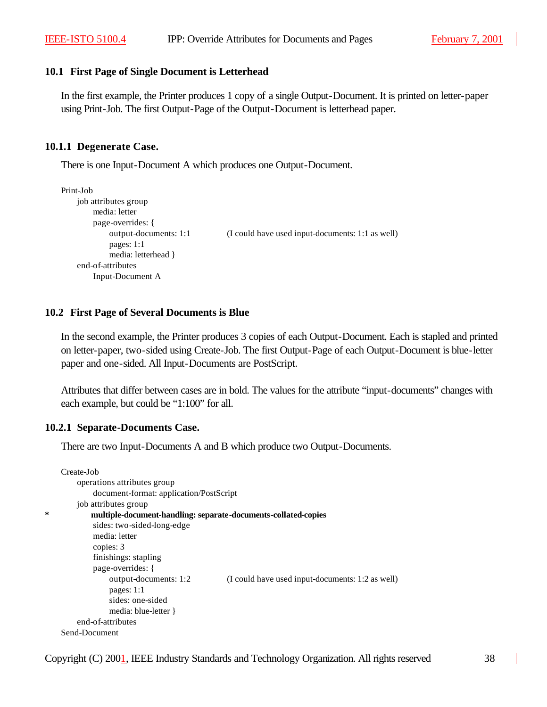#### **10.1 First Page of Single Document is Letterhead**

In the first example, the Printer produces 1 copy of a single Output-Document. It is printed on letter-paper using Print-Job. The first Output-Page of the Output-Document is letterhead paper.

#### **10.1.1 Degenerate Case.**

There is one Input-Document A which produces one Output-Document.

```
Print-Job
    job attributes group
        media: letter
        page-overrides: {
             output-documents: 1:1 (I could have used input-documents: 1:1 as well)
             pages: 1:1
             media: letterhead }
    end-of-attributes
        Input-Document A
```
#### **10.2 First Page of Several Documents is Blue**

In the second example, the Printer produces 3 copies of each Output-Document. Each is stapled and printed on letter-paper, two-sided using Create-Job. The first Output-Page of each Output-Document is blue-letter paper and one-sided. All Input-Documents are PostScript.

Attributes that differ between cases are in bold. The values for the attribute "input-documents" changes with each example, but could be "1:100" for all.

#### **10.2.1 Separate-Documents Case.**

There are two Input-Documents A and B which produce two Output-Documents.

```
Create-Job
    operations attributes group
         document-format: application/PostScript
    job attributes group
        * multiple-document-handling: separate-documents-collated-copies
        sides: two-sided-long-edge
        media: letter
         copies: 3
         finishings: stapling
        page-overrides: {
             output-documents: 1:2 (I could have used input-documents: 1:2 as well)
             pages: 1:1
             sides: one-sided
             media: blue-letter }
    end-of-attributes
Send-Document
```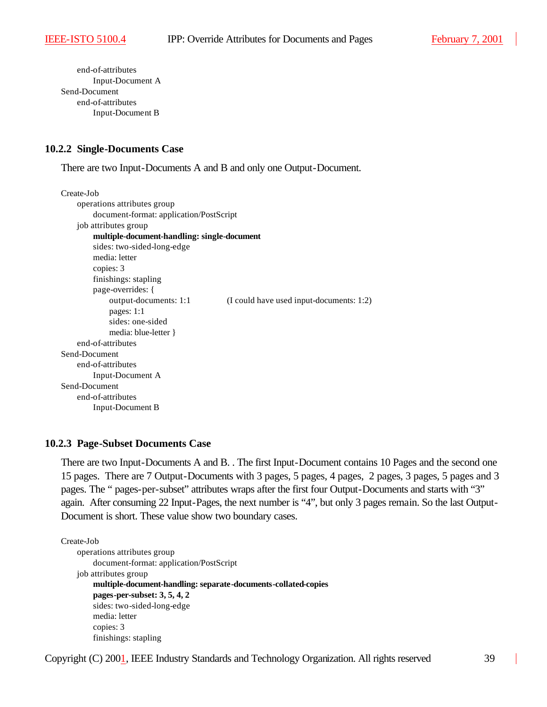end-of-attributes Input-Document A Send-Document end-of-attributes Input-Document B

#### **10.2.2 Single-Documents Case**

There are two Input-Documents A and B and only one Output-Document.

```
Create-Job
    operations attributes group
        document-format: application/PostScript
    job attributes group
        multiple-document-handling: single-document
        sides: two-sided-long-edge
        media: letter
        copies: 3
        finishings: stapling
        page-overrides: {
             output-documents: 1:1 (I could have used input-documents: 1:2)
             pages: 1:1
             sides: one-sided
             media: blue-letter }
    end-of-attributes
Send-Document
    end-of-attributes
        Input-Document A 
Send-Document
    end-of-attributes
        Input-Document B
```
#### **10.2.3 Page-Subset Documents Case**

There are two Input-Documents A and B. . The first Input-Document contains 10 Pages and the second one 15 pages. There are 7 Output-Documents with 3 pages, 5 pages, 4 pages, 2 pages, 3 pages, 5 pages and 3 pages. The " pages-per-subset" attributes wraps after the first four Output-Documents and starts with "3" again. After consuming 22 Input-Pages, the next number is "4", but only 3 pages remain. So the last Output-Document is short. These value show two boundary cases.

```
Create-Job
```

```
operations attributes group
    document-format: application/PostScript
job attributes group
    multiple-document-handling: separate-documents-collated-copies
    pages-per-subset: 3, 5, 4, 2
    sides: two-sided-long-edge
    media: letter
    copies: 3
    finishings: stapling
```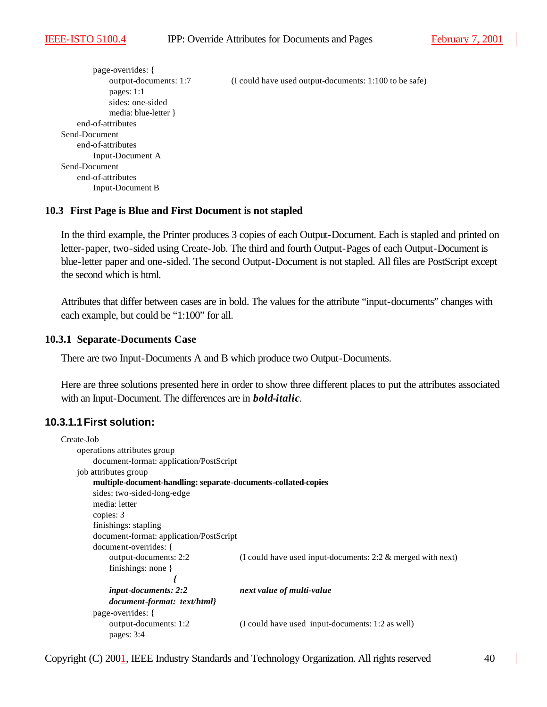page-overrides: { output-documents: 1:7 (I could have used output-documents: 1:100 to be safe) pages: 1:1 sides: one-sided media: blue-letter } end-of-attributes Send-Document end-of-attributes Input-Document A Send-Document end-of-attributes Input-Document B

#### **10.3 First Page is Blue and First Document is not stapled**

In the third example, the Printer produces 3 copies of each Output-Document. Each is stapled and printed on letter-paper, two-sided using Create-Job. The third and fourth Output-Pages of each Output-Document is blue-letter paper and one-sided. The second Output-Document is not stapled. All files are PostScript except the second which is html.

Attributes that differ between cases are in bold. The values for the attribute "input-documents" changes with each example, but could be "1:100" for all.

#### **10.3.1 Separate-Documents Case**

There are two Input-Documents A and B which produce two Output-Documents.

Here are three solutions presented here in order to show three different places to put the attributes associated with an Input-Document. The differences are in *bold-italic*.

# **10.3.1.1First solution:**

```
Create-Job
    operations attributes group
        document-format: application/PostScript
    job attributes group
        multiple-document-handling: separate-documents-collated-copies
        sides: two-sided-long-edge
        media: letter
        copies: 3
        finishings: stapling
        document-format: application/PostScript
        document-overrides: {
            output-documents: 2:2 (I could have used input-documents: 2:2 & merged with next)
            finishings: none }
                             {
            input-documents: 2:2 next value of multi-value
            document-format: text/html}
        page-overrides: {
            output-documents: 1:2 (I could have used input-documents: 1:2 as well)
            pages: 3:4
```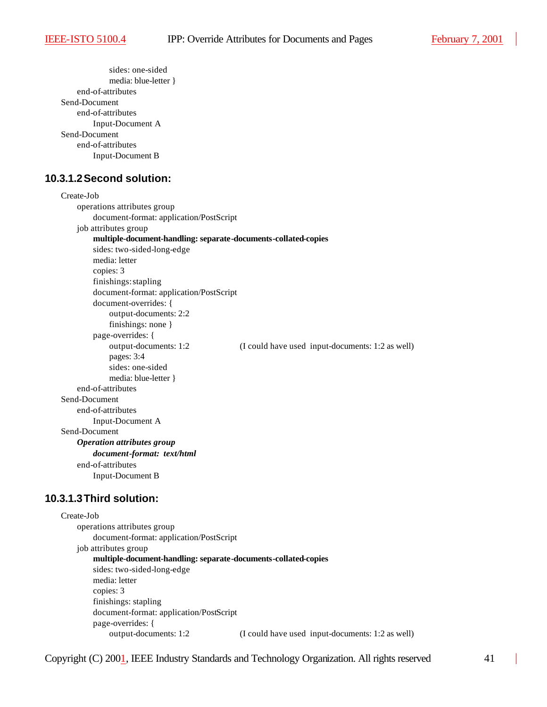```
sides: one-sided
             media: blue-letter }
    end-of-attributes
Send-Document
    end-of-attributes
        Input-Document A 
Send-Document
    end-of-attributes
        Input-Document B
```
# **10.3.1.2Second solution:**

```
Create-Job
    operations attributes group
        document-format: application/PostScript
    job attributes group
        multiple-document-handling: separate-documents-collated-copies
        sides: two-sided-long-edge
        media: letter
        copies: 3
        finishings: stapling
        document-format: application/PostScript
        document-overrides: {
             output-documents: 2:2 
             finishings: none }
        page-overrides: {
             output-documents: 1:2 (I could have used input-documents: 1:2 as well)
             pages: 3:4
             sides: one-sided
             media: blue-letter }
    end-of-attributes
Send-Document
    end-of-attributes
        Input-Document A 
Send-Document
    Operation attributes group
        document-format: text/html
    end-of-attributes
        Input-Document B
```
#### **10.3.1.3Third solution:**

```
Create-Job
    operations attributes group
        document-format: application/PostScript
    job attributes group
        multiple-document-handling: separate-documents-collated-copies
        sides: two-sided-long-edge
        media: letter
        copies: 3
        finishings: stapling
        document-format: application/PostScript
        page-overrides: {
            output-documents: 1:2 (I could have used input-documents: 1:2 as well)
```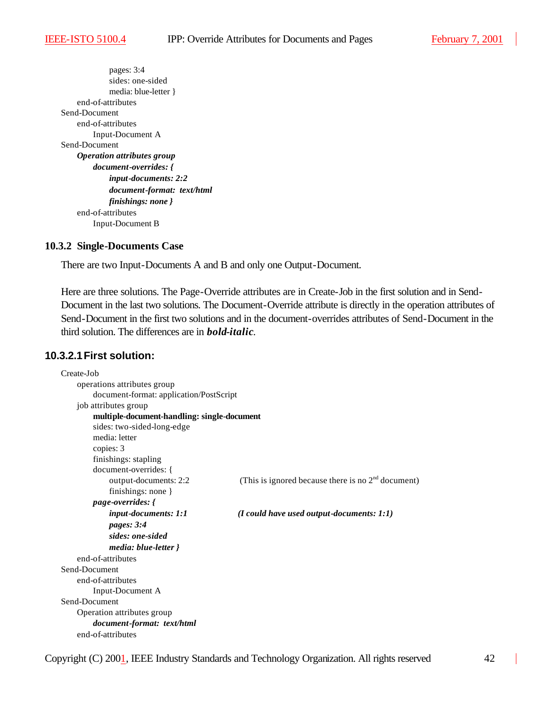pages: 3:4 sides: one-sided media: blue-letter } end-of-attributes Send-Document end-of-attributes Input-Document A Send-Document *Operation attributes group document-overrides: { input-documents: 2:2 document-format: text/html finishings: none }* end-of-attributes Input-Document B

#### **10.3.2 Single-Documents Case**

There are two Input-Documents A and B and only one Output-Document.

Here are three solutions. The Page-Override attributes are in Create-Job in the first solution and in Send-Document in the last two solutions. The Document-Override attribute is directly in the operation attributes of Send-Document in the first two solutions and in the document-overrides attributes of Send-Document in the third solution. The differences are in *bold-italic*.

### **10.3.2.1First solution:**

| Create-Job                                  |                                                      |  |  |  |
|---------------------------------------------|------------------------------------------------------|--|--|--|
| operations attributes group                 |                                                      |  |  |  |
|                                             | document-format: application/PostScript              |  |  |  |
| job attributes group                        |                                                      |  |  |  |
| multiple-document-handling: single-document |                                                      |  |  |  |
| sides: two-sided-long-edge                  |                                                      |  |  |  |
| media: letter                               |                                                      |  |  |  |
| copies: 3                                   |                                                      |  |  |  |
| finishings: stapling                        |                                                      |  |  |  |
| document-overrides: {                       |                                                      |  |  |  |
| output-documents: 2:2                       | (This is ignored because there is no $2nd$ document) |  |  |  |
| finishings: none $\}$                       |                                                      |  |  |  |
| <i>page-overrides:</i> {                    |                                                      |  |  |  |
| <i>input-documents: 1:1</i>                 | $(I \text{ could have used output-documents: } 1:1)$ |  |  |  |
| pages: 3:4                                  |                                                      |  |  |  |
| sides: one-sided                            |                                                      |  |  |  |
| media: blue-letter }                        |                                                      |  |  |  |
| end-of-attributes                           |                                                      |  |  |  |
| Send-Document                               |                                                      |  |  |  |
| end-of-attributes                           |                                                      |  |  |  |
| Input-Document A                            |                                                      |  |  |  |
| Send-Document                               |                                                      |  |  |  |
| Operation attributes group                  |                                                      |  |  |  |
| document-format: text/html                  |                                                      |  |  |  |
| end-of-attributes                           |                                                      |  |  |  |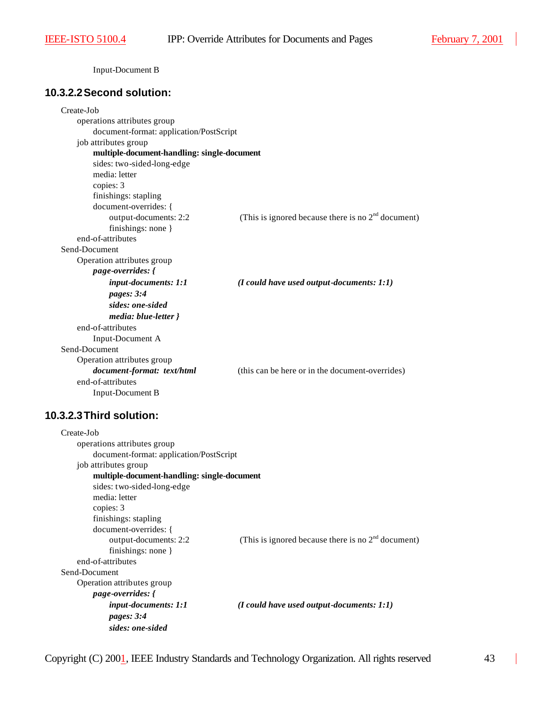Input-Document B

# **10.3.2.2Second solution:**

| Create-Job                                  |                                                      |  |  |
|---------------------------------------------|------------------------------------------------------|--|--|
| operations attributes group                 |                                                      |  |  |
| document-format: application/PostScript     |                                                      |  |  |
| job attributes group                        |                                                      |  |  |
| multiple-document-handling: single-document |                                                      |  |  |
| sides: two-sided-long-edge                  |                                                      |  |  |
| media: letter                               |                                                      |  |  |
| copies: 3                                   |                                                      |  |  |
| finishings: stapling                        |                                                      |  |  |
| document-overrides: {                       |                                                      |  |  |
| output-documents: 2:2                       | (This is ignored because there is no $2nd$ document) |  |  |
| finishings: none }                          |                                                      |  |  |
| end-of-attributes                           |                                                      |  |  |
| Send-Document                               |                                                      |  |  |
| Operation attributes group                  |                                                      |  |  |
| page-overrides: {                           |                                                      |  |  |
| input-documents: 1:1                        | $(I$ could have used output-documents: $1:1)$        |  |  |
| pages: 3:4                                  |                                                      |  |  |
| sides: one-sided                            |                                                      |  |  |
| media: blue-letter }                        |                                                      |  |  |
| end-of-attributes                           |                                                      |  |  |
| Input-Document A                            |                                                      |  |  |
| Send-Document                               |                                                      |  |  |
| Operation attributes group                  |                                                      |  |  |
| document-format: text/html                  | (this can be here or in the document-overrides)      |  |  |
| end-of-attributes                           |                                                      |  |  |
| Input-Document B                            |                                                      |  |  |

# **10.3.2.3Third solution:**

| Create-Job                                  |                                                       |
|---------------------------------------------|-------------------------------------------------------|
| operations attributes group                 |                                                       |
| document-format: application/PostScript     |                                                       |
| job attributes group                        |                                                       |
| multiple-document-handling: single-document |                                                       |
| sides: two-sided-long-edge                  |                                                       |
| media: letter                               |                                                       |
| copies: 3                                   |                                                       |
| finishings: stapling                        |                                                       |
| document-overrides: {                       |                                                       |
| output-documents: 2:2                       | (This is ignored because there is no $2nd$ document)  |
| finishings: none $\}$                       |                                                       |
| end-of-attributes                           |                                                       |
| Send-Document                               |                                                       |
| Operation attributes group                  |                                                       |
| <i>page-overrides: {</i>                    |                                                       |
| <i>input-documents: 1:1</i>                 | $(I \text{ could have used output-documents: } I: I)$ |
| pages: $3:4$                                |                                                       |
| sides: one-sided                            |                                                       |

 $\overline{\phantom{a}}$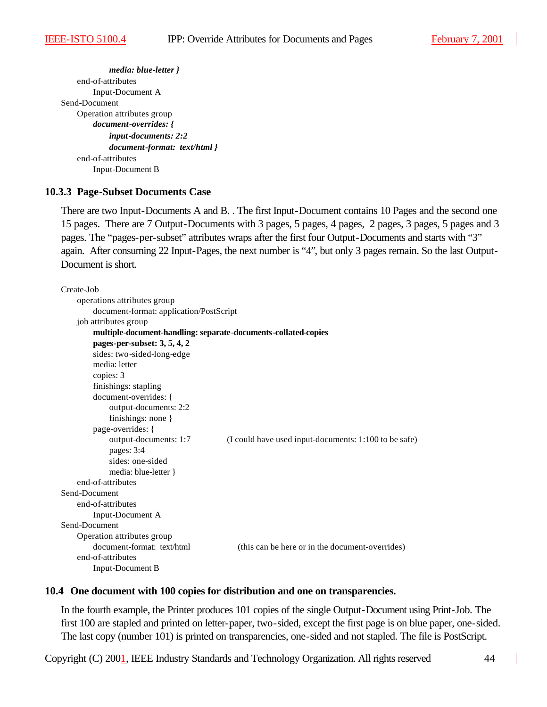*media: blue-letter }* end-of-attributes Input-Document A Send-Document Operation attributes group *document-overrides: { input-documents: 2:2 document-format: text/html }* end-of-attributes Input-Document B

#### **10.3.3 Page-Subset Documents Case**

There are two Input-Documents A and B. . The first Input-Document contains 10 Pages and the second one 15 pages. There are 7 Output-Documents with 3 pages, 5 pages, 4 pages, 2 pages, 3 pages, 5 pages and 3 pages. The "pages-per-subset" attributes wraps after the first four Output-Documents and starts with "3" again. After consuming 22 Input-Pages, the next number is "4", but only 3 pages remain. So the last Output-Document is short.

```
Create-Job
    operations attributes group
        document-format: application/PostScript
    job attributes group
        multiple-document-handling: separate-documents-collated-copies
        pages-per-subset: 3, 5, 4, 2
        sides: two-sided-long-edge
        media: letter
        copies: 3
        finishings: stapling
        document-overrides: {
             output-documents: 2:2 
             finishings: none }
        page-overrides: {
             output-documents: 1:7 (I could have used input-documents: 1:100 to be safe)
             pages: 3:4
             sides: one-sided
             media: blue-letter }
    end-of-attributes
Send-Document
    end-of-attributes
        Input-Document A 
Send-Document
    Operation attributes group
        document-format: text/html (this can be here or in the document-overrides)
    end-of-attributes
        Input-Document B
```
#### **10.4 One document with 100 copies for distribution and one on transparencies.**

In the fourth example, the Printer produces 101 copies of the single Output-Document using Print-Job. The first 100 are stapled and printed on letter-paper, two-sided, except the first page is on blue paper, one-sided. The last copy (number 101) is printed on transparencies, one-sided and not stapled. The file is PostScript.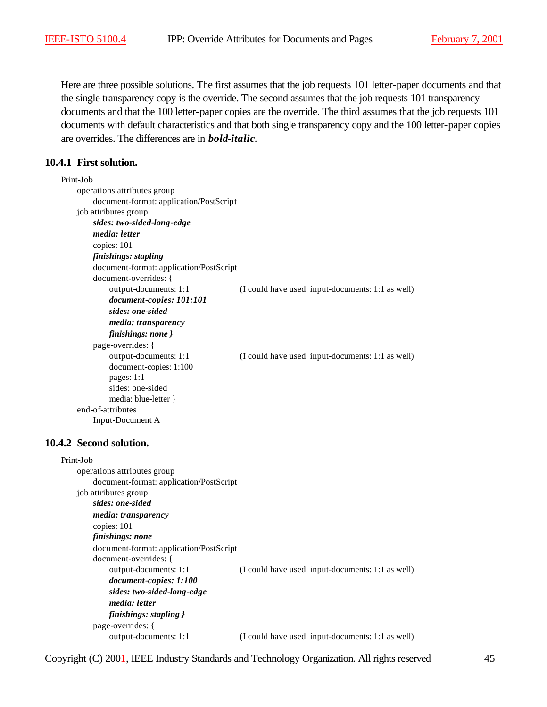Here are three possible solutions. The first assumes that the job requests 101 letter-paper documents and that the single transparency copy is the override. The second assumes that the job requests 101 transparency documents and that the 100 letter-paper copies are the override. The third assumes that the job requests 101 documents with default characteristics and that both single transparency copy and the 100 letter-paper copies are overrides. The differences are in *bold-italic*.

# **10.4.1 First solution.**

| Print-Job                               |                                                  |
|-----------------------------------------|--------------------------------------------------|
| operations attributes group             |                                                  |
| document-format: application/PostScript |                                                  |
| job attributes group                    |                                                  |
| sides: two-sided-long-edge              |                                                  |
| media: letter                           |                                                  |
| copies: 101                             |                                                  |
| finishings: stapling                    |                                                  |
| document-format: application/PostScript |                                                  |
| document-overrides: {                   |                                                  |
| output-documents: 1:1                   | (I could have used input-documents: 1:1 as well) |
| document-copies: 101:101                |                                                  |
| sides: one-sided                        |                                                  |
| <i>media: transparency</i>              |                                                  |
| finishings: none }                      |                                                  |
| page-overrides: {                       |                                                  |
| output-documents: 1:1                   | (I could have used input-documents: 1:1 as well) |
| document-copies: 1:100                  |                                                  |
| pages: $1:1$                            |                                                  |
| sides: one-sided                        |                                                  |
| media: blue-letter }                    |                                                  |
| end-of-attributes                       |                                                  |
| Input-Document A                        |                                                  |
|                                         |                                                  |
| 4.2. Second solution                    |                                                  |

#### **10.4.2 Second solution.**

| Print-Job                               |                                                  |
|-----------------------------------------|--------------------------------------------------|
| operations attributes group             |                                                  |
| document-format: application/PostScript |                                                  |
| job attributes group                    |                                                  |
| sides: one-sided                        |                                                  |
| <i>media: transparency</i>              |                                                  |
| copies: 101                             |                                                  |
| finishings: none                        |                                                  |
| document-format: application/PostScript |                                                  |
| document-overrides: {                   |                                                  |
| output-documents: 1:1                   | (I could have used input-documents: 1:1 as well) |
| document-copies: 1:100                  |                                                  |
| sides: two-sided-long-edge              |                                                  |
| <i>media: letter</i>                    |                                                  |
| finishings: stapling }                  |                                                  |
| page-overrides: {                       |                                                  |
| output-documents: 1:1                   | (I could have used input-documents: 1:1 as well) |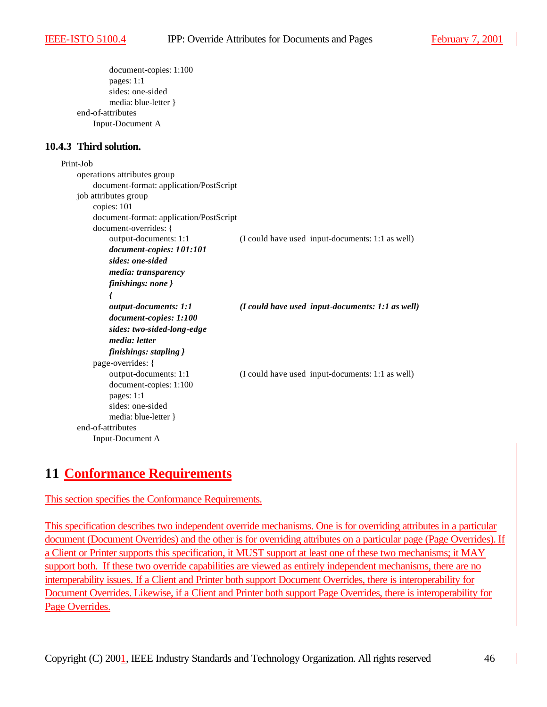```
document-copies: 1:100 
         pages: 1:1
         sides: one-sided
         media: blue-letter }
end-of-attributes
    Input-Document A
```
#### **10.4.3 Third solution.**

```
Print-Job
    operations attributes group
        document-format: application/PostScript
    job attributes group
        copies: 101
        document-format: application/PostScript
        document-overrides: {
            output-documents: 1:1 (I could have used input-documents: 1:1 as well) 
            document-copies: 101:101 
            sides: one-sided
            media: transparency 
            finishings: none }
            {
            output-documents: 1:1 (I could have used input-documents: 1:1 as well) 
            document-copies: 1:100 
            sides: two-sided-long-edge
            media: letter 
            finishings: stapling }
        page-overrides: {
            output-documents: 1:1 (I could have used input-documents: 1:1 as well)
            document-copies: 1:100 
            pages: 1:1
            sides: one-sided
            media: blue-letter }
    end-of-attributes
        Input-Document A
```
# **11 Conformance Requirements**

#### This section specifies the Conformance Requirements.

This specification describes two independent override mechanisms. One is for overriding attributes in a particular document (Document Overrides) and the other is for overriding attributes on a particular page (Page Overrides). If a Client or Printer supports this specification, it MUST support at least one of these two mechanisms; it MAY support both. If these two override capabilities are viewed as entirely independent mechanisms, there are no interoperability issues. If a Client and Printer both support Document Overrides, there is interoperability for Document Overrides. Likewise, if a Client and Printer both support Page Overrides, there is interoperability for Page Overrides.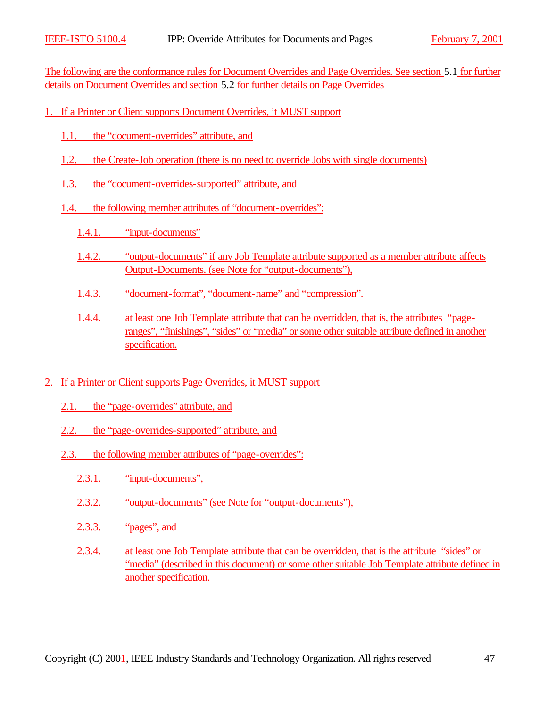The following are the conformance rules for Document Overrides and Page Overrides. See section 5.1 for further details on Document Overrides and section 5.2 for further details on Page Overrides

- 1. If a Printer or Client supports Document Overrides, it MUST support
	- 1.1. the "document-overrides" attribute, and
	- 1.2. the Create-Job operation (there is no need to override Jobs with single documents)
	- 1.3. the "document-overrides-supported" attribute, and
	- 1.4. the following member attributes of "document-overrides":
		- 1.4.1. "input-documents"
		- 1.4.2. "output-documents" if any Job Template attribute supported as a member attribute affects Output-Documents. (see Note for "output-documents"),
		- 1.4.3. "document-format", "document-name" and "compression".
		- 1.4.4. at least one Job Template attribute that can be overridden, that is, the attributes "pageranges", "finishings", "sides" or "media" or some other suitable attribute defined in another specification.
- 2. If a Printer or Client supports Page Overrides, it MUST support
	- 2.1. the "page-overrides" attribute, and
	- 2.2. the "page-overrides-supported" attribute, and
	- 2.3. the following member attributes of "page-overrides":
		- 2.3.1. "input-documents",
		- 2.3.2. "output-documents" (see Note for "output-documents"),
		- 2.3.3. "pages", and
		- 2.3.4. at least one Job Template attribute that can be overridden, that is the attribute "sides" or "media" (described in this document) or some other suitable Job Template attribute defined in another specification.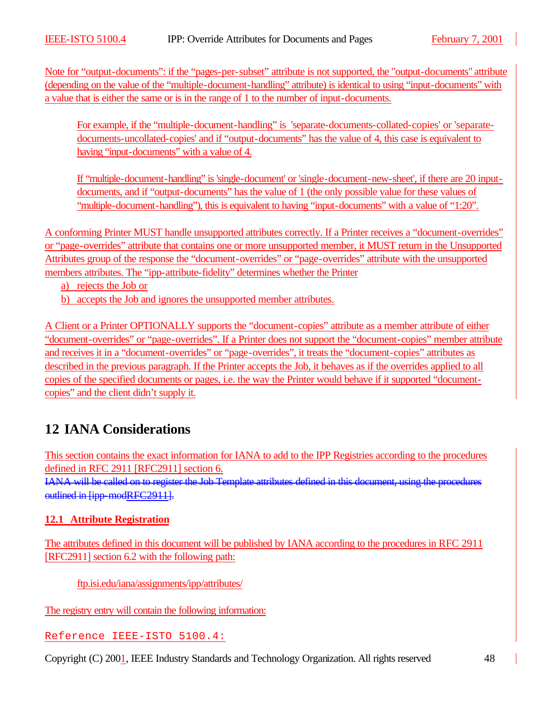Note for "output-documents": if the "pages-per-subset" attribute is not supported, the "output-documents" attribute (depending on the value of the "multiple-document-handling" attribute) is identical to using "input-documents" with a value that is either the same or is in the range of 1 to the number of input-documents.

For example, if the "multiple-document-handling" is 'separate-documents-collated-copies' or 'separatedocuments-uncollated-copies' and if "output-documents" has the value of 4, this case is equivalent to having "input-documents" with a value of 4.

If "multiple-document-handling" is 'single-document' or 'single-document-new-sheet', if there are 20 inputdocuments, and if "output-documents" has the value of 1 (the only possible value for these values of "multiple-document-handling"), this is equivalent to having "input-documents" with a value of "1:20".

A conforming Printer MUST handle unsupported attributes correctly. If a Printer receives a "document-overrides" or "page-overrides" attribute that contains one or more unsupported member, it MUST return in the Unsupported Attributes group of the response the "document-overrides" or "page-overrides" attribute with the unsupported members attributes. The "ipp-attribute-fidelity" determines whether the Printer

a) rejects the Job or

b) accepts the Job and ignores the unsupported member attributes.

A Client or a Printer OPTIONALLY supports the "document-copies" attribute as a member attribute of either "document-overrides" or "page-overrides". If a Printer does not support the "document-copies" member attribute and receives it in a "document-overrides" or "page-overrides", it treats the "document-copies" attributes as described in the previous paragraph. If the Printer accepts the Job, it behaves as if the overrides applied to all copies of the specified documents or pages, i.e. the way the Printer would behave if it supported "documentcopies" and the client didn't supply it.

# **12 IANA Considerations**

This section contains the exact information for IANA to add to the IPP Registries according to the procedures defined in RFC 2911 [RFC2911] section 6.

IANA will be called on to register the Job Template attributes defined in this document, using the procedures outlined in [ipp-modRFC2911].

# **12.1 Attribute Registration**

The attributes defined in this document will be published by IANA according to the procedures in RFC 2911 [RFC2911] section 6.2 with the following path:

ftp.isi.edu/iana/assignments/ipp/attributes/

The registry entry will contain the following information:

Reference IEEE-ISTO 5100.4: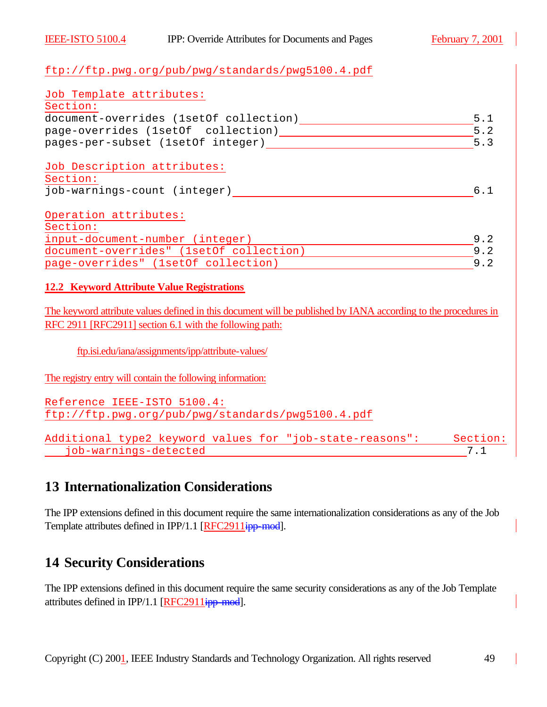### ftp://ftp.pwg.org/pub/pwg/standards/pwg5100.4.pdf

| Job Template attributes:                                                                                                                                            |          |
|---------------------------------------------------------------------------------------------------------------------------------------------------------------------|----------|
| Section:                                                                                                                                                            |          |
| document-overrides (1setOf collection) __________________________________5.1                                                                                        |          |
|                                                                                                                                                                     | 5.2      |
|                                                                                                                                                                     | 5.3      |
| Job Description attributes:                                                                                                                                         |          |
| Section:                                                                                                                                                            |          |
| job-warnings-count (integer)                                                                                                                                        | 6.1      |
| Operation attributes:                                                                                                                                               |          |
| Section:                                                                                                                                                            |          |
| input-document-number (integer)                                                                                                                                     | 9.2      |
| document-overrides" (1setOf collection) 3.2                                                                                                                         |          |
| page-overrides" (1setOf collection)                                                                                                                                 | 9.2      |
| <b>12.2 Keyword Attribute Value Registrations</b><br>The keyword attribute values defined in this document will be published by IANA according to the procedures in |          |
| RFC 2911 [RFC2911] section 6.1 with the following path:                                                                                                             |          |
|                                                                                                                                                                     |          |
| ftp.isi.edu/iana/assignments/ipp/attribute-values/                                                                                                                  |          |
| The registry entry will contain the following information:                                                                                                          |          |
| Reference IEEE-ISTO 5100.4:                                                                                                                                         |          |
| ftp://ftp.pwg.org/pub/pwg/standards/pwg5100.4.pdf                                                                                                                   |          |
| Additional type2 keyword values for "job-state-reasons":                                                                                                            | Section: |
| job-warnings-detected                                                                                                                                               | 7.1      |

# **13 Internationalization Considerations**

The IPP extensions defined in this document require the same internationalization considerations as any of the Job Template attributes defined in IPP/1.1 [RFC2911ipp-mod].

# **14 Security Considerations**

The IPP extensions defined in this document require the same security considerations as any of the Job Template attributes defined in IPP/1.1 [RFC2911ipp-mod].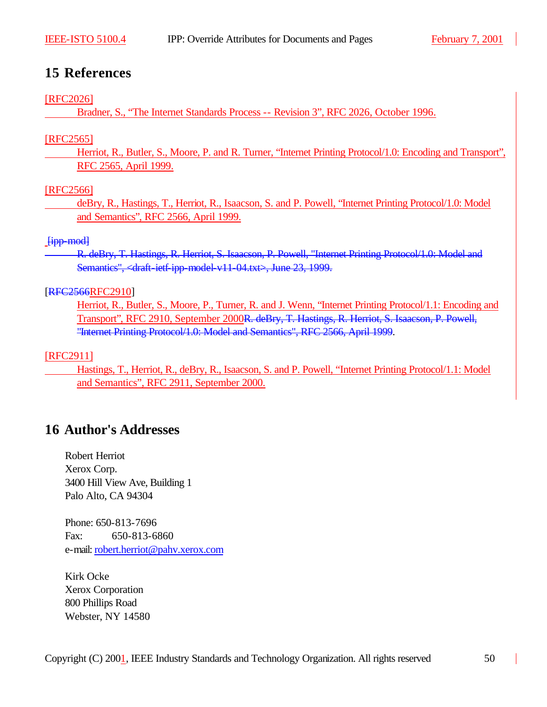# **15 References**

### [RFC2026]

Bradner, S., "The Internet Standards Process -- Revision 3", RFC 2026, October 1996.

# [RFC2565]

Herriot, R., Butler, S., Moore, P. and R. Turner, "Internet Printing Protocol/1.0: Encoding and Transport", RFC 2565, April 1999.

# [RFC2566]

deBry, R., Hastings, T., Herriot, R., Isaacson, S. and P. Powell, "Internet Printing Protocol/1.0: Model and Semantics", RFC 2566, April 1999.

# [ipp-mod]

R. deBry, T. Hastings, R. Herriot, S. Isaacson, P. Powell, "Internet Printing Protocol/1.0: Model and Semantics", <draft-ietf-ipp-model-v11-04.txt>, June 23, 1999.

# [RFC2566RFC2910]

Herriot, R., Butler, S., Moore, P., Turner, R. and J. Wenn, "Internet Printing Protocol/1.1: Encoding and Transport", RFC 2910, September 2000R. deBry, T. Hastings, R. Herriot, S. Isaacson, P. Powell, "Internet Printing Protocol/1.0: Model and Semantics", RFC 2566, April 1999.

# [RFC2911]

Hastings, T., Herriot, R., deBry, R., Isaacson, S. and P. Powell, "Internet Printing Protocol/1.1: Model and Semantics", RFC 2911, September 2000.

# **16 Author's Addresses**

Robert Herriot Xerox Corp. 3400 Hill View Ave, Building 1 Palo Alto, CA 94304

Phone: 650-813-7696 Fax: 650-813-6860 e-mail: robert.herriot@pahv.xerox.com

Kirk Ocke Xerox Corporation 800 Phillips Road Webster, NY 14580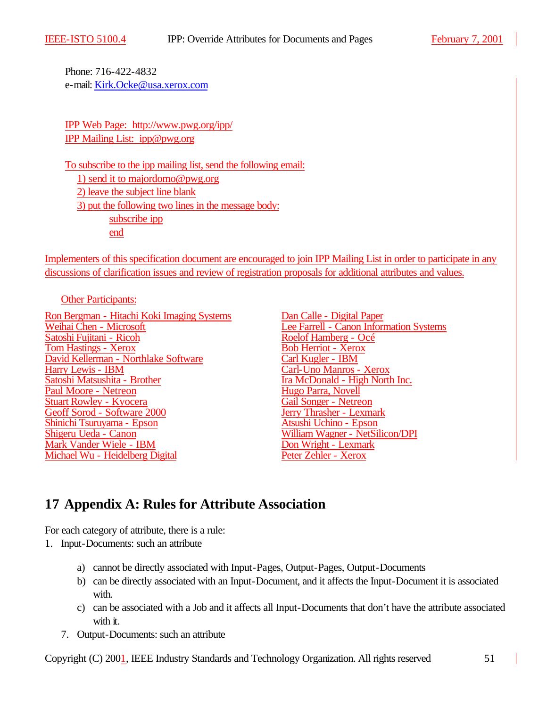Phone: 716-422-4832 e-mail: Kirk.Ocke@usa.xerox.com

IPP Web Page: http://www.pwg.org/ipp/ IPP Mailing List: ipp@pwg.org

To subscribe to the ipp mailing list, send the following email: 1) send it to majordomo@pwg.org 2) leave the subject line blank 3) put the following two lines in the message body: subscribe ipp end

Implementers of this specification document are encouraged to join IPP Mailing List in order to participate in any discussions of clarification issues and review of registration proposals for additional attributes and values.

Other Participants:

Ron Bergman - Hitachi Koki Imaging Systems<br>
Weihai Chen - Microsoft<br>
Lee Farrell - Canon Inform Satoshi Fujitani - Ricoh Roelof Hamberg - Océ<br>
Tom Hastings - Xerox Roelof Hamberg - Océ Tom Hastings - Xerox<br>
David Kellerman - Northlake Software Carl Kugler - IBM David Kellerman - Northlake Software<br>Harry Lewis - IBM Harry Lewis - IBM Carl-Uno Manros - Xerox Paul Moore - Netreon<br>
Stuart Rowley - Kyocera<br>
Gail Songer - Netreon Stuart Rowley - Kyocera<br>
Gail Songer - Netreon<br>
Geoff Sorod - Software 2000 Geoff Sorod - Software 2000<br>
Shinichi Tsuruyama - Epson<br>
Atsushi Uchino - Epson Shinichi Tsuruyama - Epson<br>Shigeru Ueda - Canon Mark Vander Wiele - IBM Michael Wu - Heidelberg Digital Peter Zehler - Xerox

Lee Farrell - Canon Information Systems Ira McDonald - High North Inc.<br>Hugo Parra, Novell William Wagner - NetSilicon/DPI<br>Don Wright - Lexmark

# **17 Appendix A: Rules for Attribute Association**

For each category of attribute, there is a rule:

- 1. Input-Documents: such an attribute
	- a) cannot be directly associated with Input-Pages, Output-Pages, Output-Documents
	- b) can be directly associated with an Input-Document, and it affects the Input-Document it is associated with.
	- c) can be associated with a Job and it affects all Input-Documents that don't have the attribute associated with it.
	- 7. Output-Documents: such an attribute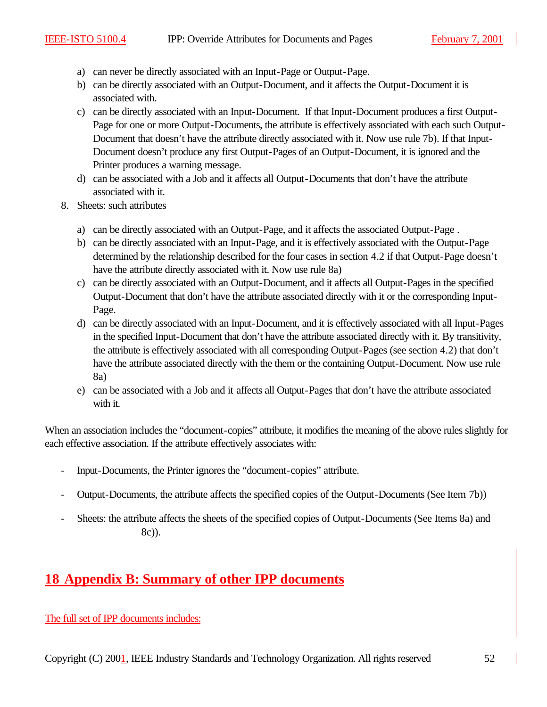- a) can never be directly associated with an Input-Page or Output-Page.
- b) can be directly associated with an Output-Document, and it affects the Output-Document it is associated with.
- c) can be directly associated with an Input-Document. If that Input-Document produces a first Output-Page for one or more Output-Documents, the attribute is effectively associated with each such Output-Document that doesn't have the attribute directly associated with it. Now use rule 7b). If that Input-Document doesn't produce any first Output-Pages of an Output-Document, it is ignored and the Printer produces a warning message.
- d) can be associated with a Job and it affects all Output-Documents that don't have the attribute associated with it.
- 8. Sheets: such attributes
	- a) can be directly associated with an Output-Page, and it affects the associated Output-Page .
	- b) can be directly associated with an Input-Page, and it is effectively associated with the Output-Page determined by the relationship described for the four cases in section 4.2 if that Output-Page doesn't have the attribute directly associated with it. Now use rule 8a)
	- c) can be directly associated with an Output-Document, and it affects all Output-Pages in the specified Output-Document that don't have the attribute associated directly with it or the corresponding Input-Page.
	- d) can be directly associated with an Input-Document, and it is effectively associated with all Input-Pages in the specified Input-Document that don't have the attribute associated directly with it. By transitivity, the attribute is effectively associated with all corresponding Output-Pages (see section 4.2) that don't have the attribute associated directly with the them or the containing Output-Document. Now use rule 8a)
	- e) can be associated with a Job and it affects all Output-Pages that don't have the attribute associated with it.

When an association includes the "document-copies" attribute, it modifies the meaning of the above rules slightly for each effective association. If the attribute effectively associates with:

- Input-Documents, the Printer ignores the "document-copies" attribute.
- Output-Documents, the attribute affects the specified copies of the Output-Documents (See Item 7b))
- Sheets: the attribute affects the sheets of the specified copies of Output-Documents (See Items 8a) and 8c)).

# **18 Appendix B: Summary of other IPP documents**

The full set of IPP documents includes: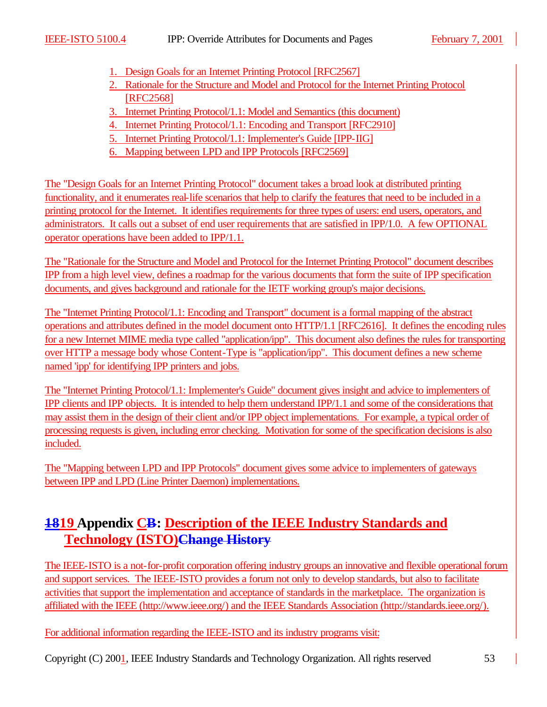- 1. Design Goals for an Internet Printing Protocol [RFC2567]
- 2. Rationale for the Structure and Model and Protocol for the Internet Printing Protocol [RFC2568]
- 3. Internet Printing Protocol/1.1: Model and Semantics (this document)
- 4. Internet Printing Protocol/1.1: Encoding and Transport [RFC2910]
- 5. Internet Printing Protocol/1.1: Implementer's Guide [IPP-IIG]
- 6. Mapping between LPD and IPP Protocols [RFC2569]

The "Design Goals for an Internet Printing Protocol" document takes a broad look at distributed printing functionality, and it enumerates real-life scenarios that help to clarify the features that need to be included in a printing protocol for the Internet. It identifies requirements for three types of users: end users, operators, and administrators. It calls out a subset of end user requirements that are satisfied in IPP/1.0. A few OPTIONAL operator operations have been added to IPP/1.1.

The "Rationale for the Structure and Model and Protocol for the Internet Printing Protocol" document describes IPP from a high level view, defines a roadmap for the various documents that form the suite of IPP specification documents, and gives background and rationale for the IETF working group's major decisions.

The "Internet Printing Protocol/1.1: Encoding and Transport" document is a formal mapping of the abstract operations and attributes defined in the model document onto HTTP/1.1 [RFC2616]. It defines the encoding rules for a new Internet MIME media type called "application/ipp". This document also defines the rules for transporting over HTTP a message body whose Content-Type is "application/ipp". This document defines a new scheme named 'ipp' for identifying IPP printers and jobs.

The "Internet Printing Protocol/1.1: Implementer's Guide" document gives insight and advice to implementers of IPP clients and IPP objects. It is intended to help them understand IPP/1.1 and some of the considerations that may assist them in the design of their client and/or IPP object implementations. For example, a typical order of processing requests is given, including error checking. Motivation for some of the specification decisions is also included.

The "Mapping between LPD and IPP Protocols" document gives some advice to implementers of gateways between IPP and LPD (Line Printer Daemon) implementations.

# **1819 Appendix CB: Description of the IEEE Industry Standards and Technology (ISTO)Change History**

The IEEE-ISTO is a not-for-profit corporation offering industry groups an innovative and flexible operational forum and support services. The IEEE-ISTO provides a forum not only to develop standards, but also to facilitate activities that support the implementation and acceptance of standards in the marketplace. The organization is affiliated with the IEEE (http://www.ieee.org/) and the IEEE Standards Association (http://standards.ieee.org/).

For additional information regarding the IEEE-ISTO and its industry programs visit: